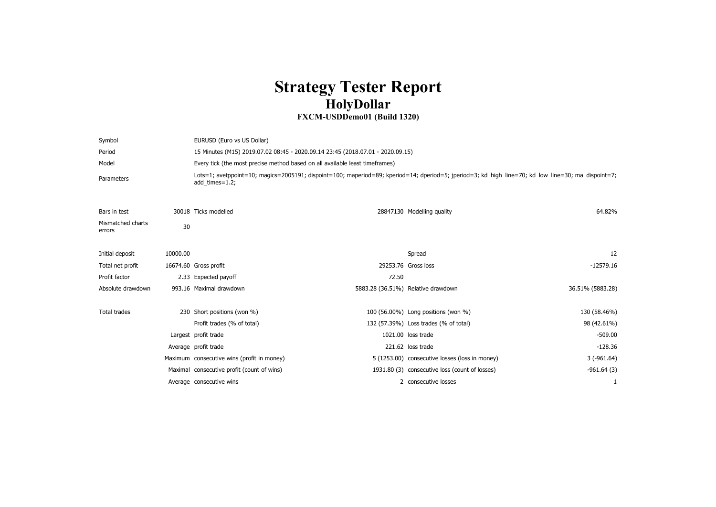## **Strategy Tester Report HolyDollar**

## **FXCM-USDDemo01 (Build 1320)**

| Symbol                      |          | EURUSD (Euro vs US Dollar)                                                     |       |                                                |                                                                                                                                                     |  |
|-----------------------------|----------|--------------------------------------------------------------------------------|-------|------------------------------------------------|-----------------------------------------------------------------------------------------------------------------------------------------------------|--|
| Period                      |          | 15 Minutes (M15) 2019.07.02 08:45 - 2020.09.14 23:45 (2018.07.01 - 2020.09.15) |       |                                                |                                                                                                                                                     |  |
| Model                       |          | Every tick (the most precise method based on all available least timeframes)   |       |                                                |                                                                                                                                                     |  |
| Parameters                  |          | add times=1.2;                                                                 |       |                                                | Lots=1; avetppoint=10; magics=2005191; dispoint=100; maperiod=89; kperiod=14; dperiod=5; jperiod=3; kd_high_line=70; kd_low_line=30; ma_dispoint=7; |  |
| Bars in test                |          | 30018 Ticks modelled                                                           |       | 28847130 Modelling quality                     | 64.82%                                                                                                                                              |  |
| Mismatched charts<br>errors | 30       |                                                                                |       |                                                |                                                                                                                                                     |  |
| Initial deposit             | 10000.00 |                                                                                |       | Spread                                         | 12                                                                                                                                                  |  |
| Total net profit            |          | 16674.60 Gross profit                                                          |       | 29253.76 Gross loss                            | $-12579.16$                                                                                                                                         |  |
| Profit factor               |          | 2.33 Expected payoff                                                           | 72.50 |                                                |                                                                                                                                                     |  |
| Absolute drawdown           |          | 993.16 Maximal drawdown                                                        |       | 5883.28 (36.51%) Relative drawdown             | 36.51% (5883.28)                                                                                                                                    |  |
| Total trades                |          | 230 Short positions (won %)                                                    |       | 100 (56.00%) Long positions (won %)            | 130 (58.46%)                                                                                                                                        |  |
|                             |          | Profit trades (% of total)                                                     |       | 132 (57.39%) Loss trades (% of total)          | 98 (42.61%)                                                                                                                                         |  |
|                             |          | Largest profit trade                                                           |       | 1021.00 loss trade                             | $-509.00$                                                                                                                                           |  |
|                             |          | Average profit trade                                                           |       | 221.62 loss trade                              | $-128.36$                                                                                                                                           |  |
|                             |          | Maximum consecutive wins (profit in money)                                     |       | 5 (1253.00) consecutive losses (loss in money) | $3(-961.64)$                                                                                                                                        |  |
|                             |          | Maximal consecutive profit (count of wins)                                     |       | 1931.80 (3) consecutive loss (count of losses) | $-961.64(3)$                                                                                                                                        |  |
|                             |          | Average consecutive wins                                                       |       | 2 consecutive losses                           |                                                                                                                                                     |  |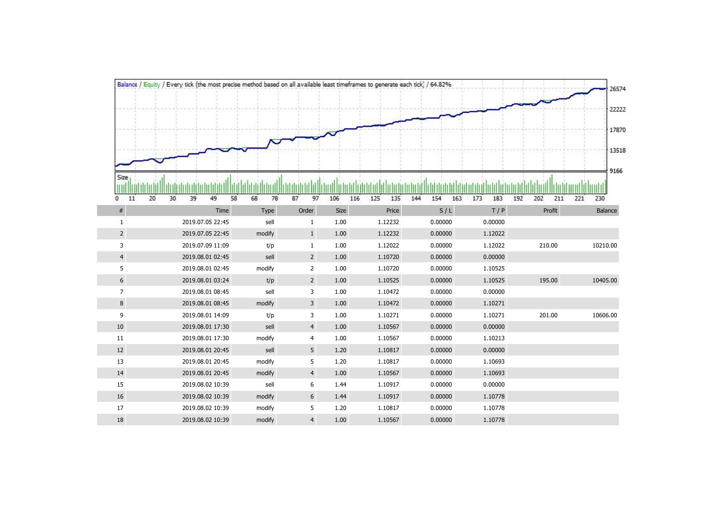|                     | Balance / Equity / Every tick (the most precise method based on all available least timeframes to generate each tick) / 64.82% |          |                |            |            |                   |            |                   | 26574      |
|---------------------|--------------------------------------------------------------------------------------------------------------------------------|----------|----------------|------------|------------|-------------------|------------|-------------------|------------|
|                     |                                                                                                                                |          |                |            |            |                   |            |                   |            |
|                     |                                                                                                                                |          |                |            |            |                   |            |                   | 22222      |
|                     |                                                                                                                                |          |                |            |            |                   |            |                   | 17870      |
|                     |                                                                                                                                |          |                |            |            |                   |            |                   |            |
|                     |                                                                                                                                |          |                |            |            |                   |            |                   | 13518      |
|                     |                                                                                                                                |          |                |            |            |                   |            |                   | 9166       |
| Size                |                                                                                                                                |          |                |            |            |                   |            |                   |            |
| 20<br>11<br>$\circ$ | 30<br>39<br>58<br>49                                                                                                           | 78<br>68 | 87<br>97       | 106<br>116 | 125<br>135 | 144<br>154<br>163 | 183<br>173 | 202<br>211<br>192 | 221<br>230 |
| $\#$                | Time                                                                                                                           | Type     | Order          | Size       | Price      | S/L               | T / P      | Profit            | Balance    |
| 1                   | 2019.07.05 22:45                                                                                                               | sell     | $\mathbf{1}$   | 1.00       | 1.12232    | 0.00000           | 0.00000    |                   |            |
| $\overline{2}$      | 2019.07.05 22:45                                                                                                               | modify   | $\mathbf{1}$   | 1.00       | 1.12232    | 0.00000           | 1.12022    |                   |            |
| 3                   | 2019.07.09 11:09                                                                                                               | t/p      | $\mathbf{1}$   | 1.00       | 1.12022    | 0.00000           | 1.12022    | 210.00            | 10210.00   |
| $\overline{4}$      | 2019.08.01 02:45                                                                                                               | sell     | $2^{\circ}$    | 1.00       | 1.10720    | 0.00000           | 0.00000    |                   |            |
| 5                   | 2019.08.01 02:45                                                                                                               | modify   | $\overline{2}$ | 1.00       | 1.10720    | 0.00000           | 1.10525    |                   |            |
| 6                   | 2019.08.01 03:24                                                                                                               | t/p      | $2^{\circ}$    | $1.00\,$   | 1.10525    | 0.00000           | 1.10525    | 195.00            | 10405.00   |
| $\overline{7}$      | 2019.08.01 08:45                                                                                                               | sell     | 3              | 1.00       | 1.10472    | 0.00000           | 0.00000    |                   |            |
| 8                   | 2019.08.01 08:45                                                                                                               | modify   | $\overline{3}$ | 1.00       | 1.10472    | 0.00000           | 1.10271    |                   |            |
| 9                   | 2019.08.01 14:09                                                                                                               | t/p      | 3              | 1.00       | 1.10271    | 0.00000           | 1.10271    | 201.00            | 10606.00   |
| 10                  | 2019.08.01 17:30                                                                                                               | sell     | $\overline{4}$ | 1.00       | 1.10567    | 0.00000           | 0.00000    |                   |            |
| 11                  | 2019.08.01 17:30                                                                                                               | modify   | $\overline{4}$ | 1.00       | 1.10567    | 0.00000           | 1.10213    |                   |            |
| 12                  | 2019.08.01 20:45                                                                                                               | sell     | 5 <sup>5</sup> | 1.20       | 1.10817    | 0.00000           | 0.00000    |                   |            |
| 13                  | 2019.08.01 20:45                                                                                                               | modify   | 5              | 1.20       | 1.10817    | 0.00000           | 1.10693    |                   |            |
| 14                  | 2019.08.01 20:45                                                                                                               | modify   | $\overline{4}$ | 1.00       | 1.10567    | 0.00000           | 1.10693    |                   |            |
| 15                  | 2019.08.02 10:39                                                                                                               | sell     | 6              | 1.44       | 1.10917    | 0.00000           | 0.00000    |                   |            |
| 16                  | 2019.08.02 10:39                                                                                                               | modify   | 6              | 1.44       | 1.10917    | 0.00000           | 1.10778    |                   |            |
| $17\,$              | 2019.08.02 10:39                                                                                                               | modify   | 5              | 1.20       | 1.10817    | 0.00000           | 1.10778    |                   |            |
| $18\,$              | 2019.08.02 10:39                                                                                                               | modify   | $\overline{4}$ | 1.00       | 1.10567    | 0.00000           | 1.10778    |                   |            |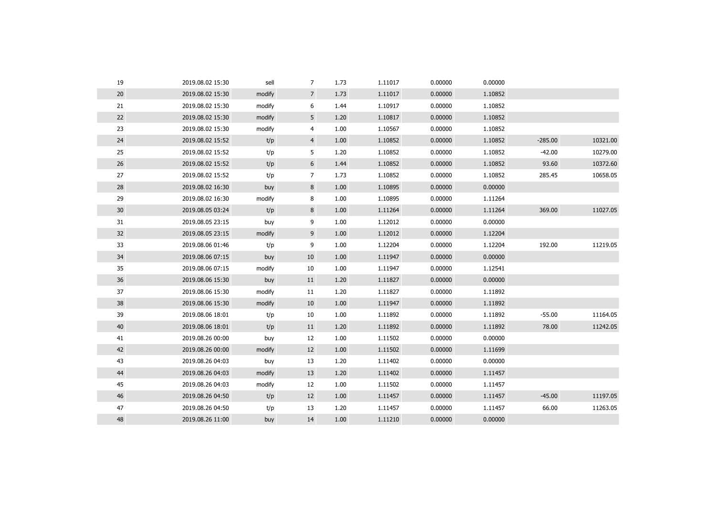| 19 | 2019.08.02 15:30 | sell   | $\overline{7}$ | 1.73 | 1.11017 | 0.00000 | 0.00000 |           |          |
|----|------------------|--------|----------------|------|---------|---------|---------|-----------|----------|
| 20 | 2019.08.02 15:30 | modify | $\overline{7}$ | 1.73 | 1.11017 | 0.00000 | 1.10852 |           |          |
| 21 | 2019.08.02 15:30 | modify | 6              | 1.44 | 1.10917 | 0.00000 | 1.10852 |           |          |
| 22 | 2019.08.02 15:30 | modify | 5              | 1.20 | 1.10817 | 0.00000 | 1.10852 |           |          |
| 23 | 2019.08.02 15:30 | modify | 4              | 1.00 | 1.10567 | 0.00000 | 1.10852 |           |          |
| 24 | 2019.08.02 15:52 | t/p    | $\overline{4}$ | 1.00 | 1.10852 | 0.00000 | 1.10852 | $-285.00$ | 10321.00 |
| 25 | 2019.08.02 15:52 | t/p    | 5              | 1.20 | 1.10852 | 0.00000 | 1.10852 | $-42.00$  | 10279.00 |
| 26 | 2019.08.02 15:52 | t/p    | 6              | 1.44 | 1.10852 | 0.00000 | 1.10852 | 93.60     | 10372.60 |
| 27 | 2019.08.02 15:52 | t/p    | 7              | 1.73 | 1.10852 | 0.00000 | 1.10852 | 285.45    | 10658.05 |
| 28 | 2019.08.02 16:30 | buy    | 8              | 1.00 | 1.10895 | 0.00000 | 0.00000 |           |          |
| 29 | 2019.08.02 16:30 | modify | 8              | 1.00 | 1.10895 | 0.00000 | 1.11264 |           |          |
| 30 | 2019.08.05 03:24 | t/p    | 8              | 1.00 | 1.11264 | 0.00000 | 1.11264 | 369.00    | 11027.05 |
| 31 | 2019.08.05 23:15 | buy    | 9              | 1.00 | 1.12012 | 0.00000 | 0.00000 |           |          |
| 32 | 2019.08.05 23:15 | modify | 9              | 1.00 | 1.12012 | 0.00000 | 1.12204 |           |          |
| 33 | 2019.08.06 01:46 | t/p    | 9              | 1.00 | 1.12204 | 0.00000 | 1.12204 | 192.00    | 11219.05 |
| 34 | 2019.08.06 07:15 | buy    | 10             | 1.00 | 1.11947 | 0.00000 | 0.00000 |           |          |
| 35 | 2019.08.06 07:15 | modify | 10             | 1.00 | 1.11947 | 0.00000 | 1.12541 |           |          |
| 36 | 2019.08.06 15:30 | buy    | 11             | 1.20 | 1.11827 | 0.00000 | 0.00000 |           |          |
| 37 | 2019.08.06 15:30 | modify | 11             | 1.20 | 1.11827 | 0.00000 | 1.11892 |           |          |
| 38 | 2019.08.06 15:30 | modify | 10             | 1.00 | 1.11947 | 0.00000 | 1.11892 |           |          |
| 39 | 2019.08.06 18:01 | t/p    | 10             | 1.00 | 1.11892 | 0.00000 | 1.11892 | $-55.00$  | 11164.05 |
| 40 | 2019.08.06 18:01 | t/p    | 11             | 1.20 | 1.11892 | 0.00000 | 1.11892 | 78.00     | 11242.05 |
| 41 | 2019.08.26 00:00 | buy    | 12             | 1.00 | 1.11502 | 0.00000 | 0.00000 |           |          |
| 42 | 2019.08.26 00:00 | modify | 12             | 1.00 | 1.11502 | 0.00000 | 1.11699 |           |          |
| 43 | 2019.08.26 04:03 | buy    | 13             | 1.20 | 1.11402 | 0.00000 | 0.00000 |           |          |
| 44 | 2019.08.26 04:03 | modify | 13             | 1.20 | 1.11402 | 0.00000 | 1.11457 |           |          |
| 45 | 2019.08.26 04:03 | modify | 12             | 1.00 | 1.11502 | 0.00000 | 1.11457 |           |          |
| 46 | 2019.08.26 04:50 | t/p    | 12             | 1.00 | 1.11457 | 0.00000 | 1.11457 | $-45.00$  | 11197.05 |
| 47 | 2019.08.26 04:50 | t/p    | 13             | 1.20 | 1.11457 | 0.00000 | 1.11457 | 66.00     | 11263.05 |
| 48 | 2019.08.26 11:00 | buy    | 14             | 1.00 | 1.11210 | 0.00000 | 0.00000 |           |          |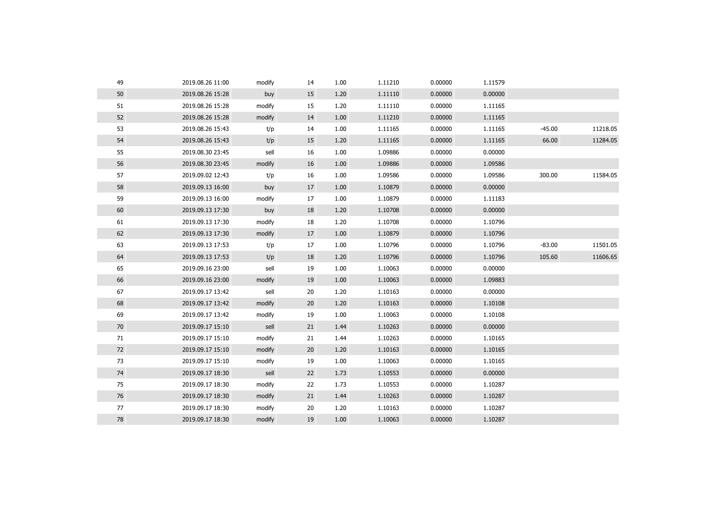| 49 | 2019.08.26 11:00 | modify | 14 | 1.00 | 1.11210 | 0.00000 | 1.11579 |          |          |
|----|------------------|--------|----|------|---------|---------|---------|----------|----------|
| 50 | 2019.08.26 15:28 | buy    | 15 | 1.20 | 1.11110 | 0.00000 | 0.00000 |          |          |
| 51 | 2019.08.26 15:28 | modify | 15 | 1.20 | 1.11110 | 0.00000 | 1.11165 |          |          |
| 52 | 2019.08.26 15:28 | modify | 14 | 1.00 | 1.11210 | 0.00000 | 1.11165 |          |          |
| 53 | 2019.08.26 15:43 | t/p    | 14 | 1.00 | 1.11165 | 0.00000 | 1.11165 | $-45.00$ | 11218.05 |
| 54 | 2019.08.26 15:43 | t/p    | 15 | 1.20 | 1.11165 | 0.00000 | 1.11165 | 66.00    | 11284.05 |
| 55 | 2019.08.30 23:45 | sell   | 16 | 1.00 | 1.09886 | 0.00000 | 0.00000 |          |          |
| 56 | 2019.08.30 23:45 | modify | 16 | 1.00 | 1.09886 | 0.00000 | 1.09586 |          |          |
| 57 | 2019.09.02 12:43 | t/p    | 16 | 1.00 | 1.09586 | 0.00000 | 1.09586 | 300.00   | 11584.05 |
| 58 | 2019.09.13 16:00 | buy    | 17 | 1.00 | 1.10879 | 0.00000 | 0.00000 |          |          |
| 59 | 2019.09.13 16:00 | modify | 17 | 1.00 | 1.10879 | 0.00000 | 1.11183 |          |          |
| 60 | 2019.09.13 17:30 | buy    | 18 | 1.20 | 1.10708 | 0.00000 | 0.00000 |          |          |
| 61 | 2019.09.13 17:30 | modify | 18 | 1.20 | 1.10708 | 0.00000 | 1.10796 |          |          |
| 62 | 2019.09.13 17:30 | modify | 17 | 1.00 | 1.10879 | 0.00000 | 1.10796 |          |          |
| 63 | 2019.09.13 17:53 | t/p    | 17 | 1.00 | 1.10796 | 0.00000 | 1.10796 | $-83.00$ | 11501.05 |
| 64 | 2019.09.13 17:53 | t/p    | 18 | 1.20 | 1.10796 | 0.00000 | 1.10796 | 105.60   | 11606.65 |
| 65 | 2019.09.16 23:00 | sell   | 19 | 1.00 | 1.10063 | 0.00000 | 0.00000 |          |          |
| 66 | 2019.09.16 23:00 | modify | 19 | 1.00 | 1.10063 | 0.00000 | 1.09883 |          |          |
| 67 | 2019.09.17 13:42 | sell   | 20 | 1.20 | 1.10163 | 0.00000 | 0.00000 |          |          |
| 68 | 2019.09.17 13:42 | modify | 20 | 1.20 | 1.10163 | 0.00000 | 1.10108 |          |          |
| 69 | 2019.09.17 13:42 | modify | 19 | 1.00 | 1.10063 | 0.00000 | 1.10108 |          |          |
| 70 | 2019.09.17 15:10 | sell   | 21 | 1.44 | 1.10263 | 0.00000 | 0.00000 |          |          |
| 71 | 2019.09.17 15:10 | modify | 21 | 1.44 | 1.10263 | 0.00000 | 1.10165 |          |          |
| 72 | 2019.09.17 15:10 | modify | 20 | 1.20 | 1.10163 | 0.00000 | 1.10165 |          |          |
| 73 | 2019.09.17 15:10 | modify | 19 | 1.00 | 1.10063 | 0.00000 | 1.10165 |          |          |
| 74 | 2019.09.17 18:30 | sell   | 22 | 1.73 | 1.10553 | 0.00000 | 0.00000 |          |          |
| 75 | 2019.09.17 18:30 | modify | 22 | 1.73 | 1.10553 | 0.00000 | 1.10287 |          |          |
| 76 | 2019.09.17 18:30 | modify | 21 | 1.44 | 1.10263 | 0.00000 | 1.10287 |          |          |
| 77 | 2019.09.17 18:30 | modify | 20 | 1.20 | 1.10163 | 0.00000 | 1.10287 |          |          |
| 78 | 2019.09.17 18:30 | modify | 19 | 1.00 | 1.10063 | 0.00000 | 1.10287 |          |          |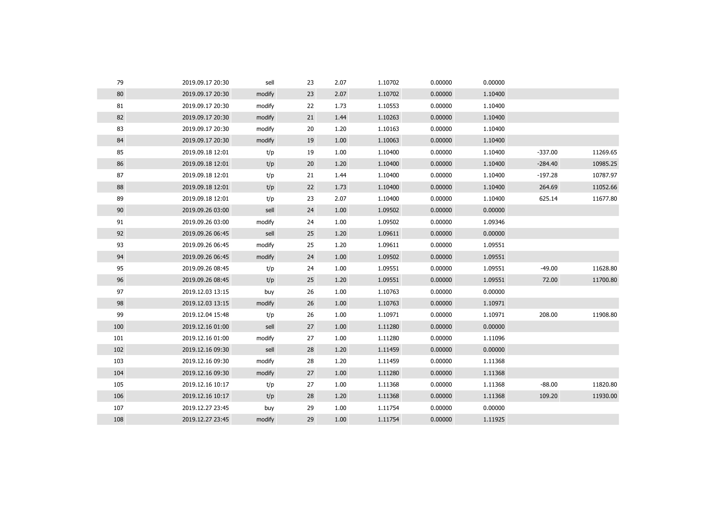| 79  | 2019.09.17 20:30 | sell   | 23 | 2.07 | 1.10702 | 0.00000 | 0.00000 |           |          |
|-----|------------------|--------|----|------|---------|---------|---------|-----------|----------|
| 80  | 2019.09.17 20:30 | modify | 23 | 2.07 | 1.10702 | 0.00000 | 1.10400 |           |          |
| 81  | 2019.09.17 20:30 | modify | 22 | 1.73 | 1.10553 | 0.00000 | 1.10400 |           |          |
| 82  | 2019.09.17 20:30 | modify | 21 | 1.44 | 1.10263 | 0.00000 | 1.10400 |           |          |
| 83  | 2019.09.17 20:30 | modify | 20 | 1.20 | 1.10163 | 0.00000 | 1.10400 |           |          |
| 84  | 2019.09.17 20:30 | modify | 19 | 1.00 | 1.10063 | 0.00000 | 1.10400 |           |          |
| 85  | 2019.09.18 12:01 | t/p    | 19 | 1.00 | 1.10400 | 0.00000 | 1.10400 | $-337.00$ | 11269.65 |
| 86  | 2019.09.18 12:01 | t/p    | 20 | 1.20 | 1.10400 | 0.00000 | 1.10400 | $-284.40$ | 10985.25 |
| 87  | 2019.09.18 12:01 | t/p    | 21 | 1.44 | 1.10400 | 0.00000 | 1.10400 | $-197.28$ | 10787.97 |
| 88  | 2019.09.18 12:01 | t/p    | 22 | 1.73 | 1.10400 | 0.00000 | 1.10400 | 264.69    | 11052.66 |
| 89  | 2019.09.18 12:01 | t/p    | 23 | 2.07 | 1.10400 | 0.00000 | 1.10400 | 625.14    | 11677.80 |
| 90  | 2019.09.26 03:00 | sell   | 24 | 1.00 | 1.09502 | 0.00000 | 0.00000 |           |          |
| 91  | 2019.09.26 03:00 | modify | 24 | 1.00 | 1.09502 | 0.00000 | 1.09346 |           |          |
| 92  | 2019.09.26 06:45 | sell   | 25 | 1.20 | 1.09611 | 0.00000 | 0.00000 |           |          |
| 93  | 2019.09.26 06:45 | modify | 25 | 1.20 | 1.09611 | 0.00000 | 1.09551 |           |          |
| 94  | 2019.09.26 06:45 | modify | 24 | 1.00 | 1.09502 | 0.00000 | 1.09551 |           |          |
| 95  | 2019.09.26 08:45 | t/p    | 24 | 1.00 | 1.09551 | 0.00000 | 1.09551 | $-49.00$  | 11628.80 |
| 96  | 2019.09.26 08:45 | t/p    | 25 | 1.20 | 1.09551 | 0.00000 | 1.09551 | 72.00     | 11700.80 |
| 97  | 2019.12.03 13:15 | buy    | 26 | 1.00 | 1.10763 | 0.00000 | 0.00000 |           |          |
| 98  | 2019.12.03 13:15 | modify | 26 | 1.00 | 1.10763 | 0.00000 | 1.10971 |           |          |
| 99  | 2019.12.04 15:48 | t/p    | 26 | 1.00 | 1.10971 | 0.00000 | 1.10971 | 208.00    | 11908.80 |
| 100 | 2019.12.16 01:00 | sell   | 27 | 1.00 | 1.11280 | 0.00000 | 0.00000 |           |          |
| 101 | 2019.12.16 01:00 | modify | 27 | 1.00 | 1.11280 | 0.00000 | 1.11096 |           |          |
| 102 | 2019.12.16 09:30 | sell   | 28 | 1.20 | 1.11459 | 0.00000 | 0.00000 |           |          |
| 103 | 2019.12.16 09:30 | modify | 28 | 1.20 | 1.11459 | 0.00000 | 1.11368 |           |          |
| 104 | 2019.12.16 09:30 | modify | 27 | 1.00 | 1.11280 | 0.00000 | 1.11368 |           |          |
| 105 | 2019.12.16 10:17 | t/p    | 27 | 1.00 | 1.11368 | 0.00000 | 1.11368 | $-88.00$  | 11820.80 |
| 106 | 2019.12.16 10:17 | t/p    | 28 | 1.20 | 1.11368 | 0.00000 | 1.11368 | 109.20    | 11930.00 |
| 107 | 2019.12.27 23:45 | buy    | 29 | 1.00 | 1.11754 | 0.00000 | 0.00000 |           |          |
| 108 | 2019.12.27 23:45 | modify | 29 | 1.00 | 1.11754 | 0.00000 | 1.11925 |           |          |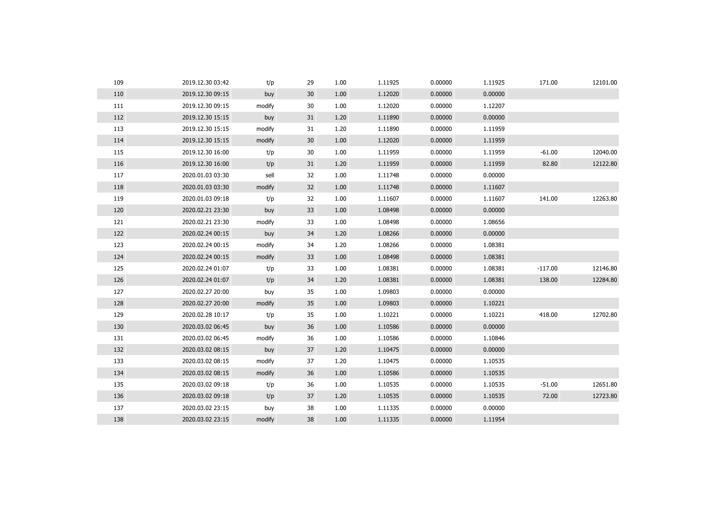| 109 | 2019.12.30 03:42 | t/p    | 29              | 1.00 | 1.11925 | 0.00000 | 1.11925 | 171.00    | 12101.00 |
|-----|------------------|--------|-----------------|------|---------|---------|---------|-----------|----------|
| 110 | 2019.12.30 09:15 | buy    | 30 <sup>°</sup> | 1.00 | 1.12020 | 0.00000 | 0.00000 |           |          |
| 111 | 2019.12.30 09:15 | modify | 30              | 1.00 | 1.12020 | 0.00000 | 1.12207 |           |          |
| 112 | 2019.12.30 15:15 | buy    | 31              | 1.20 | 1.11890 | 0.00000 | 0.00000 |           |          |
| 113 | 2019.12.30 15:15 | modify | 31              | 1.20 | 1.11890 | 0.00000 | 1.11959 |           |          |
| 114 | 2019.12.30 15:15 | modify | 30 <sup>°</sup> | 1.00 | 1.12020 | 0.00000 | 1.11959 |           |          |
| 115 | 2019.12.30 16:00 | t/p    | 30              | 1.00 | 1.11959 | 0.00000 | 1.11959 | $-61.00$  | 12040.00 |
| 116 | 2019.12.30 16:00 | t/p    | 31              | 1.20 | 1.11959 | 0.00000 | 1.11959 | 82.80     | 12122.80 |
| 117 | 2020.01.03 03:30 | sell   | 32              | 1.00 | 1.11748 | 0.00000 | 0.00000 |           |          |
| 118 | 2020.01.03 03:30 | modify | 32              | 1.00 | 1.11748 | 0.00000 | 1.11607 |           |          |
| 119 | 2020.01.03 09:18 | t/p    | 32              | 1.00 | 1.11607 | 0.00000 | 1.11607 | 141.00    | 12263.80 |
| 120 | 2020.02.21 23:30 | buy    | 33              | 1.00 | 1.08498 | 0.00000 | 0.00000 |           |          |
| 121 | 2020.02.21 23:30 | modify | 33              | 1.00 | 1.08498 | 0.00000 | 1.08656 |           |          |
| 122 | 2020.02.24 00:15 | buy    | 34              | 1.20 | 1.08266 | 0.00000 | 0.00000 |           |          |
| 123 | 2020.02.24 00:15 | modify | 34              | 1.20 | 1.08266 | 0.00000 | 1.08381 |           |          |
| 124 | 2020.02.24 00:15 | modify | 33              | 1.00 | 1.08498 | 0.00000 | 1.08381 |           |          |
| 125 | 2020.02.24 01:07 | t/p    | 33              | 1.00 | 1.08381 | 0.00000 | 1.08381 | $-117.00$ | 12146.80 |
| 126 | 2020.02.24 01:07 | t/p    | 34              | 1.20 | 1.08381 | 0.00000 | 1.08381 | 138.00    | 12284.80 |
| 127 | 2020.02.27 20:00 | buy    | 35              | 1.00 | 1.09803 | 0.00000 | 0.00000 |           |          |
| 128 | 2020.02.27 20:00 | modify | 35              | 1.00 | 1.09803 | 0.00000 | 1.10221 |           |          |
| 129 | 2020.02.28 10:17 | t/p    | 35              | 1.00 | 1.10221 | 0.00000 | 1.10221 | 418.00    | 12702.80 |
| 130 | 2020.03.02 06:45 | buy    | 36              | 1.00 | 1.10586 | 0.00000 | 0.00000 |           |          |
| 131 | 2020.03.02 06:45 | modify | 36              | 1.00 | 1.10586 | 0.00000 | 1.10846 |           |          |
| 132 | 2020.03.02 08:15 | buy    | 37              | 1.20 | 1.10475 | 0.00000 | 0.00000 |           |          |
| 133 | 2020.03.02 08:15 | modify | 37              | 1.20 | 1.10475 | 0.00000 | 1.10535 |           |          |
| 134 | 2020.03.02 08:15 | modify | 36              | 1.00 | 1.10586 | 0.00000 | 1.10535 |           |          |
| 135 | 2020.03.02 09:18 | t/p    | 36              | 1.00 | 1.10535 | 0.00000 | 1.10535 | $-51.00$  | 12651.80 |
| 136 | 2020.03.02 09:18 | t/p    | 37              | 1.20 | 1.10535 | 0.00000 | 1.10535 | 72.00     | 12723.80 |
| 137 | 2020.03.02 23:15 | buy    | 38              | 1.00 | 1.11335 | 0.00000 | 0.00000 |           |          |
| 138 | 2020.03.02 23:15 | modify | 38              | 1.00 | 1.11335 | 0.00000 | 1.11954 |           |          |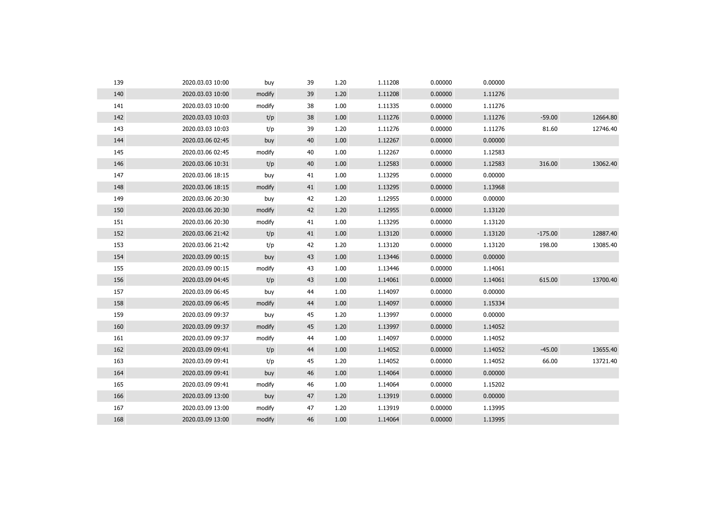| 139 | 2020.03.03 10:00 | buy    | 39 | 1.20 | 1.11208 | 0.00000 | 0.00000 |           |          |
|-----|------------------|--------|----|------|---------|---------|---------|-----------|----------|
| 140 | 2020.03.03 10:00 | modify | 39 | 1.20 | 1.11208 | 0.00000 | 1.11276 |           |          |
| 141 | 2020.03.03 10:00 | modify | 38 | 1.00 | 1.11335 | 0.00000 | 1.11276 |           |          |
| 142 | 2020.03.03 10:03 | t/p    | 38 | 1.00 | 1.11276 | 0.00000 | 1.11276 | $-59.00$  | 12664.80 |
| 143 | 2020.03.03 10:03 | t/p    | 39 | 1.20 | 1.11276 | 0.00000 | 1.11276 | 81.60     | 12746.40 |
| 144 | 2020.03.06 02:45 | buy    | 40 | 1.00 | 1.12267 | 0.00000 | 0.00000 |           |          |
| 145 | 2020.03.06 02:45 | modify | 40 | 1.00 | 1.12267 | 0.00000 | 1.12583 |           |          |
| 146 | 2020.03.06 10:31 | t/p    | 40 | 1.00 | 1.12583 | 0.00000 | 1.12583 | 316.00    | 13062.40 |
| 147 | 2020.03.06 18:15 | buy    | 41 | 1.00 | 1.13295 | 0.00000 | 0.00000 |           |          |
| 148 | 2020.03.06 18:15 | modify | 41 | 1.00 | 1.13295 | 0.00000 | 1.13968 |           |          |
| 149 | 2020.03.06 20:30 | buy    | 42 | 1.20 | 1.12955 | 0.00000 | 0.00000 |           |          |
| 150 | 2020.03.06 20:30 | modify | 42 | 1.20 | 1.12955 | 0.00000 | 1.13120 |           |          |
| 151 | 2020.03.06 20:30 | modify | 41 | 1.00 | 1.13295 | 0.00000 | 1.13120 |           |          |
| 152 | 2020.03.06 21:42 | t/p    | 41 | 1.00 | 1.13120 | 0.00000 | 1.13120 | $-175.00$ | 12887.40 |
| 153 | 2020.03.06 21:42 | t/p    | 42 | 1.20 | 1.13120 | 0.00000 | 1.13120 | 198.00    | 13085.40 |
| 154 | 2020.03.09 00:15 | buy    | 43 | 1.00 | 1.13446 | 0.00000 | 0.00000 |           |          |
| 155 | 2020.03.09 00:15 | modify | 43 | 1.00 | 1.13446 | 0.00000 | 1.14061 |           |          |
| 156 | 2020.03.09 04:45 | t/p    | 43 | 1.00 | 1.14061 | 0.00000 | 1.14061 | 615.00    | 13700.40 |
| 157 | 2020.03.09 06:45 | buy    | 44 | 1.00 | 1.14097 | 0.00000 | 0.00000 |           |          |
| 158 | 2020.03.09 06:45 | modify | 44 | 1.00 | 1.14097 | 0.00000 | 1.15334 |           |          |
| 159 | 2020.03.09 09:37 | buy    | 45 | 1.20 | 1.13997 | 0.00000 | 0.00000 |           |          |
| 160 | 2020.03.09 09:37 | modify | 45 | 1.20 | 1.13997 | 0.00000 | 1.14052 |           |          |
| 161 | 2020.03.09 09:37 | modify | 44 | 1.00 | 1.14097 | 0.00000 | 1.14052 |           |          |
| 162 | 2020.03.09 09:41 | t/p    | 44 | 1.00 | 1.14052 | 0.00000 | 1.14052 | $-45.00$  | 13655.40 |
| 163 | 2020.03.09 09:41 | t/p    | 45 | 1.20 | 1.14052 | 0.00000 | 1.14052 | 66.00     | 13721.40 |
| 164 | 2020.03.09 09:41 | buy    | 46 | 1.00 | 1.14064 | 0.00000 | 0.00000 |           |          |
| 165 | 2020.03.09 09:41 | modify | 46 | 1.00 | 1.14064 | 0.00000 | 1.15202 |           |          |
| 166 | 2020.03.09 13:00 | buy    | 47 | 1.20 | 1.13919 | 0.00000 | 0.00000 |           |          |
| 167 | 2020.03.09 13:00 | modify | 47 | 1.20 | 1.13919 | 0.00000 | 1.13995 |           |          |
| 168 | 2020.03.09 13:00 | modify | 46 | 1.00 | 1.14064 | 0.00000 | 1.13995 |           |          |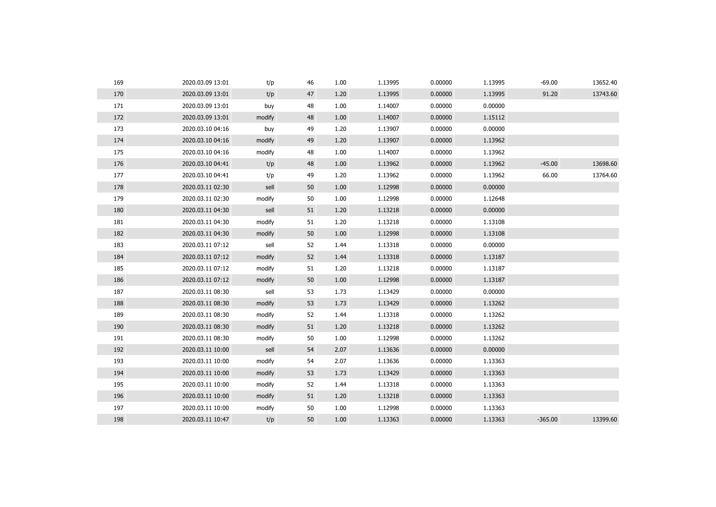| 169 | 2020.03.09 13:01 | t/p    | 46 | 1.00 | 1.13995 | 0.00000 | 1.13995 | -69.00    | 13652.40 |
|-----|------------------|--------|----|------|---------|---------|---------|-----------|----------|
| 170 | 2020.03.09 13:01 | t/p    | 47 | 1.20 | 1.13995 | 0.00000 | 1.13995 | 91.20     | 13743.60 |
| 171 | 2020.03.09 13:01 | buy    | 48 | 1.00 | 1.14007 | 0.00000 | 0.00000 |           |          |
| 172 | 2020.03.09 13:01 | modify | 48 | 1.00 | 1.14007 | 0.00000 | 1.15112 |           |          |
| 173 | 2020.03.10 04:16 | buy    | 49 | 1.20 | 1.13907 | 0.00000 | 0.00000 |           |          |
| 174 | 2020.03.10 04:16 | modify | 49 | 1.20 | 1.13907 | 0.00000 | 1.13962 |           |          |
| 175 | 2020.03.10 04:16 | modify | 48 | 1.00 | 1.14007 | 0.00000 | 1.13962 |           |          |
| 176 | 2020.03.10 04:41 | t/p    | 48 | 1.00 | 1.13962 | 0.00000 | 1.13962 | $-45.00$  | 13698.60 |
| 177 | 2020.03.10 04:41 | t/p    | 49 | 1.20 | 1.13962 | 0.00000 | 1.13962 | 66.00     | 13764.60 |
| 178 | 2020.03.11 02:30 | sell   | 50 | 1.00 | 1.12998 | 0.00000 | 0.00000 |           |          |
| 179 | 2020.03.11 02:30 | modify | 50 | 1.00 | 1.12998 | 0.00000 | 1.12648 |           |          |
| 180 | 2020.03.11 04:30 | sell   | 51 | 1.20 | 1.13218 | 0.00000 | 0.00000 |           |          |
| 181 | 2020.03.11 04:30 | modify | 51 | 1.20 | 1.13218 | 0.00000 | 1.13108 |           |          |
| 182 | 2020.03.11 04:30 | modify | 50 | 1.00 | 1.12998 | 0.00000 | 1.13108 |           |          |
| 183 | 2020.03.11 07:12 | sell   | 52 | 1.44 | 1.13318 | 0.00000 | 0.00000 |           |          |
| 184 | 2020.03.11 07:12 | modify | 52 | 1.44 | 1.13318 | 0.00000 | 1.13187 |           |          |
| 185 | 2020.03.11 07:12 | modify | 51 | 1.20 | 1.13218 | 0.00000 | 1.13187 |           |          |
| 186 | 2020.03.11 07:12 | modify | 50 | 1.00 | 1.12998 | 0.00000 | 1.13187 |           |          |
| 187 | 2020.03.11 08:30 | sell   | 53 | 1.73 | 1.13429 | 0.00000 | 0.00000 |           |          |
| 188 | 2020.03.11 08:30 | modify | 53 | 1.73 | 1.13429 | 0.00000 | 1.13262 |           |          |
| 189 | 2020.03.11 08:30 | modify | 52 | 1.44 | 1.13318 | 0.00000 | 1.13262 |           |          |
| 190 | 2020.03.11 08:30 | modify | 51 | 1.20 | 1.13218 | 0.00000 | 1.13262 |           |          |
| 191 | 2020.03.11 08:30 | modify | 50 | 1.00 | 1.12998 | 0.00000 | 1.13262 |           |          |
| 192 | 2020.03.11 10:00 | sell   | 54 | 2.07 | 1.13636 | 0.00000 | 0.00000 |           |          |
| 193 | 2020.03.11 10:00 | modify | 54 | 2.07 | 1.13636 | 0.00000 | 1.13363 |           |          |
| 194 | 2020.03.11 10:00 | modify | 53 | 1.73 | 1.13429 | 0.00000 | 1.13363 |           |          |
| 195 | 2020.03.11 10:00 | modify | 52 | 1.44 | 1.13318 | 0.00000 | 1.13363 |           |          |
| 196 | 2020.03.11 10:00 | modify | 51 | 1.20 | 1.13218 | 0.00000 | 1.13363 |           |          |
| 197 | 2020.03.11 10:00 | modify | 50 | 1.00 | 1.12998 | 0.00000 | 1.13363 |           |          |
| 198 | 2020.03.11 10:47 | t/p    | 50 | 1.00 | 1.13363 | 0.00000 | 1.13363 | $-365.00$ | 13399.60 |
|     |                  |        |    |      |         |         |         |           |          |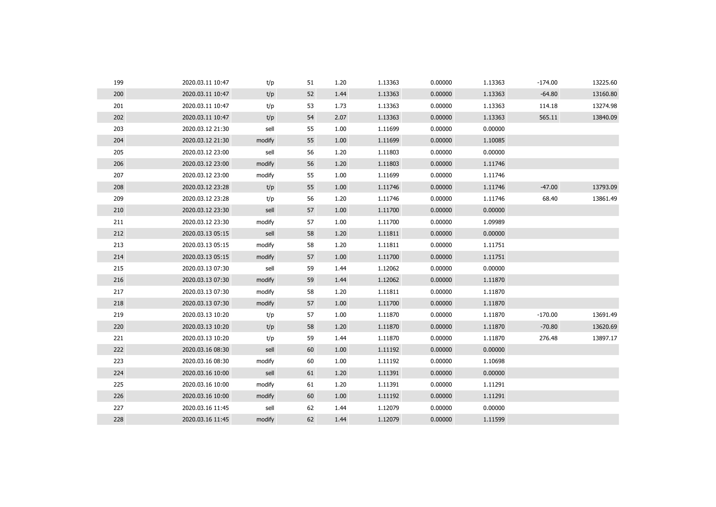| 199 | 2020.03.11 10:47 | t/p    | 51 | 1.20 | 1.13363 | 0.00000 | 1.13363 | $-174.00$ | 13225.60 |
|-----|------------------|--------|----|------|---------|---------|---------|-----------|----------|
| 200 | 2020.03.11 10:47 | t/p    | 52 | 1.44 | 1.13363 | 0.00000 | 1.13363 | $-64.80$  | 13160.80 |
| 201 | 2020.03.11 10:47 | t/p    | 53 | 1.73 | 1.13363 | 0.00000 | 1.13363 | 114.18    | 13274.98 |
| 202 | 2020.03.11 10:47 | t/p    | 54 | 2.07 | 1.13363 | 0.00000 | 1.13363 | 565.11    | 13840.09 |
| 203 | 2020.03.12 21:30 | sell   | 55 | 1.00 | 1.11699 | 0.00000 | 0.00000 |           |          |
| 204 | 2020.03.12 21:30 | modify | 55 | 1.00 | 1.11699 | 0.00000 | 1.10085 |           |          |
| 205 | 2020.03.12 23:00 | sell   | 56 | 1.20 | 1.11803 | 0.00000 | 0.00000 |           |          |
| 206 | 2020.03.12 23:00 | modify | 56 | 1.20 | 1.11803 | 0.00000 | 1.11746 |           |          |
| 207 | 2020.03.12 23:00 | modify | 55 | 1.00 | 1.11699 | 0.00000 | 1.11746 |           |          |
| 208 | 2020.03.12 23:28 | t/p    | 55 | 1.00 | 1.11746 | 0.00000 | 1.11746 | $-47.00$  | 13793.09 |
| 209 | 2020.03.12 23:28 | t/p    | 56 | 1.20 | 1.11746 | 0.00000 | 1.11746 | 68.40     | 13861.49 |
| 210 | 2020.03.12 23:30 | sell   | 57 | 1.00 | 1.11700 | 0.00000 | 0.00000 |           |          |
| 211 | 2020.03.12 23:30 | modify | 57 | 1.00 | 1.11700 | 0.00000 | 1.09989 |           |          |
| 212 | 2020.03.13 05:15 | sell   | 58 | 1.20 | 1.11811 | 0.00000 | 0.00000 |           |          |
| 213 | 2020.03.13 05:15 | modify | 58 | 1.20 | 1.11811 | 0.00000 | 1.11751 |           |          |
| 214 | 2020.03.13 05:15 | modify | 57 | 1.00 | 1.11700 | 0.00000 | 1.11751 |           |          |
| 215 | 2020.03.13 07:30 | sell   | 59 | 1.44 | 1.12062 | 0.00000 | 0.00000 |           |          |
| 216 | 2020.03.13 07:30 | modify | 59 | 1.44 | 1.12062 | 0.00000 | 1.11870 |           |          |
| 217 | 2020.03.13 07:30 | modify | 58 | 1.20 | 1.11811 | 0.00000 | 1.11870 |           |          |
| 218 | 2020.03.13 07:30 | modify | 57 | 1.00 | 1.11700 | 0.00000 | 1.11870 |           |          |
| 219 | 2020.03.13 10:20 | t/p    | 57 | 1.00 | 1.11870 | 0.00000 | 1.11870 | $-170.00$ | 13691.49 |
| 220 | 2020.03.13 10:20 | t/p    | 58 | 1.20 | 1.11870 | 0.00000 | 1.11870 | $-70.80$  | 13620.69 |
| 221 | 2020.03.13 10:20 | t/p    | 59 | 1.44 | 1.11870 | 0.00000 | 1.11870 | 276.48    | 13897.17 |
| 222 | 2020.03.16 08:30 | sell   | 60 | 1.00 | 1.11192 | 0.00000 | 0.00000 |           |          |
| 223 | 2020.03.16 08:30 | modify | 60 | 1.00 | 1.11192 | 0.00000 | 1.10698 |           |          |
| 224 | 2020.03.16 10:00 | sell   | 61 | 1.20 | 1.11391 | 0.00000 | 0.00000 |           |          |
| 225 | 2020.03.16 10:00 | modify | 61 | 1.20 | 1.11391 | 0.00000 | 1.11291 |           |          |
| 226 | 2020.03.16 10:00 | modify | 60 | 1.00 | 1.11192 | 0.00000 | 1.11291 |           |          |
| 227 | 2020.03.16 11:45 | sell   | 62 | 1.44 | 1.12079 | 0.00000 | 0.00000 |           |          |
| 228 | 2020.03.16 11:45 | modify | 62 | 1.44 | 1.12079 | 0.00000 | 1.11599 |           |          |
|     |                  |        |    |      |         |         |         |           |          |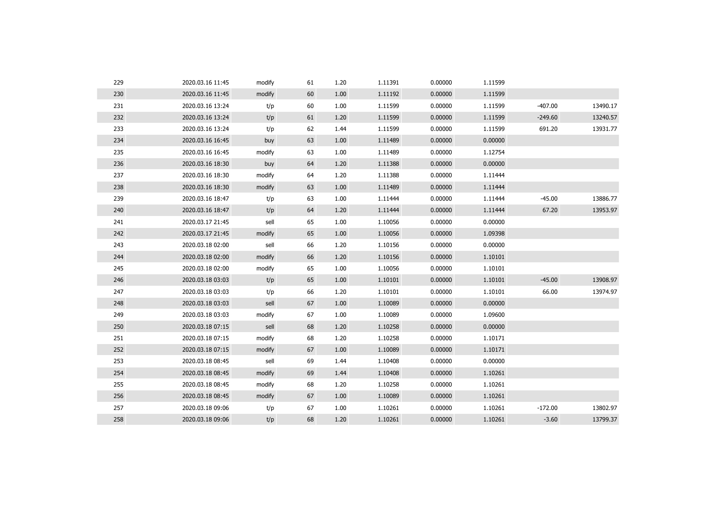| 230<br>60<br>1.11192<br>0.00000<br>1.11599<br>2020.03.16 11:45<br>modify<br>1.00<br>$-407.00$<br>231<br>60<br>1.00<br>1.11599<br>0.00000<br>1.11599<br>13490.17<br>2020.03.16 13:24<br>t/p<br>232<br>61<br>1.20<br>0.00000<br>$-249.60$<br>13240.57<br>2020.03.16 13:24<br>t/p<br>1.11599<br>1.11599<br>233<br>0.00000<br>691.20<br>13931.77<br>2020.03.16 13:24<br>62<br>1.11599<br>1.11599<br>t/p<br>1.44<br>0.00000<br>234<br>2020.03.16 16:45<br>63<br>1.00<br>1.11489<br>0.00000<br>buy<br>235<br>63<br>1.11489<br>0.00000<br>1.12754<br>2020.03.16 16:45<br>modify<br>1.00<br>236<br>64<br>0.00000<br>2020.03.16 18:30<br>1.20<br>1.11388<br>0.00000<br>buy<br>237<br>0.00000<br>2020.03.16 18:30<br>64<br>1.20<br>1.11388<br>1.11444<br>modify<br>238<br>2020.03.16 18:30<br>63<br>1.00<br>1.11489<br>0.00000<br>1.11444<br>modify<br>239<br>1.11444<br>0.00000<br>$-45.00$<br>13886.77<br>2020.03.16 18:47<br>63<br>1.00<br>1.11444<br>t/p<br>240<br>64<br>0.00000<br>67.20<br>13953.97<br>2020.03.16 18:47<br>1.20<br>1.11444<br>1.11444<br>t/p<br>241<br>sell<br>65<br>1.00<br>1.10056<br>0.00000<br>0.00000<br>2020.03.17 21:45<br>242<br>0.00000<br>65<br>1.00<br>1.10056<br>1.09398<br>2020.03.17 21:45<br>modify<br>243<br>0.00000<br>2020.03.18 02:00<br>66<br>1.20<br>1.10156<br>0.00000<br>sell<br>66<br>1.10156<br>0.00000<br>244<br>2020.03.18 02:00<br>modify<br>1.20<br>1.10101<br>245<br>65<br>1.10056<br>0.00000<br>1.10101<br>2020.03.18 02:00<br>1.00<br>modify<br>$-45.00$<br>13908.97<br>246<br>65<br>1.10101<br>0.00000<br>1.10101<br>2020.03.18 03:03<br>t/p<br>1.00<br>247<br>66<br>66.00<br>1.20<br>1.10101<br>0.00000<br>1.10101<br>13974.97<br>2020.03.18 03:03<br>t/p<br>67<br>1.10089<br>0.00000<br>0.00000<br>248<br>2020.03.18 03:03<br>sell<br>1.00<br>249<br>67<br>0.00000<br>2020.03.18 03:03<br>modify<br>1.00<br>1.10089<br>1.09600<br>250<br>68<br>1.10258<br>0.00000<br>0.00000<br>2020.03.18 07:15<br>sell<br>1.20<br>251<br>68<br>1.20<br>1.10258<br>0.00000<br>2020.03.18 07:15<br>modify<br>1.10171<br>67<br>252<br>1.00<br>1.10089<br>0.00000<br>1.10171<br>2020.03.18 07:15<br>modify<br>253<br>69<br>1.10408<br>0.00000<br>0.00000<br>2020.03.18 08:45<br>sell<br>1.44<br>254<br>69<br>1.10261<br>2020.03.18 08:45<br>modify<br>1.44<br>1.10408<br>0.00000<br>255<br>68<br>1.10258<br>1.10261<br>2020.03.18 08:45<br>modify<br>1.20<br>0.00000<br>256<br>67<br>1.10089<br>0.00000<br>1.10261<br>2020.03.18 08:45<br>modify<br>1.00<br>257<br>$-172.00$<br>67<br>1.00<br>1.10261<br>0.00000<br>1.10261<br>13802.97<br>2020.03.18 09:06<br>t/p<br>258<br>68<br>1.10261<br>0.00000<br>1.10261<br>$-3.60$<br>13799.37<br>2020.03.18 09:06<br>t/p<br>1.20 | 229 | 2020.03.16 11:45 | modify | 61 | 1.20 | 1.11391 | 0.00000 | 1.11599 |  |
|---------------------------------------------------------------------------------------------------------------------------------------------------------------------------------------------------------------------------------------------------------------------------------------------------------------------------------------------------------------------------------------------------------------------------------------------------------------------------------------------------------------------------------------------------------------------------------------------------------------------------------------------------------------------------------------------------------------------------------------------------------------------------------------------------------------------------------------------------------------------------------------------------------------------------------------------------------------------------------------------------------------------------------------------------------------------------------------------------------------------------------------------------------------------------------------------------------------------------------------------------------------------------------------------------------------------------------------------------------------------------------------------------------------------------------------------------------------------------------------------------------------------------------------------------------------------------------------------------------------------------------------------------------------------------------------------------------------------------------------------------------------------------------------------------------------------------------------------------------------------------------------------------------------------------------------------------------------------------------------------------------------------------------------------------------------------------------------------------------------------------------------------------------------------------------------------------------------------------------------------------------------------------------------------------------------------------------------------------------------------------------------------------------------------------------------------------------------------------------------------------------------------------------------------------------------------------------------------------------------------------------------------------------------------------------------------------------|-----|------------------|--------|----|------|---------|---------|---------|--|
|                                                                                                                                                                                                                                                                                                                                                                                                                                                                                                                                                                                                                                                                                                                                                                                                                                                                                                                                                                                                                                                                                                                                                                                                                                                                                                                                                                                                                                                                                                                                                                                                                                                                                                                                                                                                                                                                                                                                                                                                                                                                                                                                                                                                                                                                                                                                                                                                                                                                                                                                                                                                                                                                                                         |     |                  |        |    |      |         |         |         |  |
|                                                                                                                                                                                                                                                                                                                                                                                                                                                                                                                                                                                                                                                                                                                                                                                                                                                                                                                                                                                                                                                                                                                                                                                                                                                                                                                                                                                                                                                                                                                                                                                                                                                                                                                                                                                                                                                                                                                                                                                                                                                                                                                                                                                                                                                                                                                                                                                                                                                                                                                                                                                                                                                                                                         |     |                  |        |    |      |         |         |         |  |
|                                                                                                                                                                                                                                                                                                                                                                                                                                                                                                                                                                                                                                                                                                                                                                                                                                                                                                                                                                                                                                                                                                                                                                                                                                                                                                                                                                                                                                                                                                                                                                                                                                                                                                                                                                                                                                                                                                                                                                                                                                                                                                                                                                                                                                                                                                                                                                                                                                                                                                                                                                                                                                                                                                         |     |                  |        |    |      |         |         |         |  |
|                                                                                                                                                                                                                                                                                                                                                                                                                                                                                                                                                                                                                                                                                                                                                                                                                                                                                                                                                                                                                                                                                                                                                                                                                                                                                                                                                                                                                                                                                                                                                                                                                                                                                                                                                                                                                                                                                                                                                                                                                                                                                                                                                                                                                                                                                                                                                                                                                                                                                                                                                                                                                                                                                                         |     |                  |        |    |      |         |         |         |  |
|                                                                                                                                                                                                                                                                                                                                                                                                                                                                                                                                                                                                                                                                                                                                                                                                                                                                                                                                                                                                                                                                                                                                                                                                                                                                                                                                                                                                                                                                                                                                                                                                                                                                                                                                                                                                                                                                                                                                                                                                                                                                                                                                                                                                                                                                                                                                                                                                                                                                                                                                                                                                                                                                                                         |     |                  |        |    |      |         |         |         |  |
|                                                                                                                                                                                                                                                                                                                                                                                                                                                                                                                                                                                                                                                                                                                                                                                                                                                                                                                                                                                                                                                                                                                                                                                                                                                                                                                                                                                                                                                                                                                                                                                                                                                                                                                                                                                                                                                                                                                                                                                                                                                                                                                                                                                                                                                                                                                                                                                                                                                                                                                                                                                                                                                                                                         |     |                  |        |    |      |         |         |         |  |
|                                                                                                                                                                                                                                                                                                                                                                                                                                                                                                                                                                                                                                                                                                                                                                                                                                                                                                                                                                                                                                                                                                                                                                                                                                                                                                                                                                                                                                                                                                                                                                                                                                                                                                                                                                                                                                                                                                                                                                                                                                                                                                                                                                                                                                                                                                                                                                                                                                                                                                                                                                                                                                                                                                         |     |                  |        |    |      |         |         |         |  |
|                                                                                                                                                                                                                                                                                                                                                                                                                                                                                                                                                                                                                                                                                                                                                                                                                                                                                                                                                                                                                                                                                                                                                                                                                                                                                                                                                                                                                                                                                                                                                                                                                                                                                                                                                                                                                                                                                                                                                                                                                                                                                                                                                                                                                                                                                                                                                                                                                                                                                                                                                                                                                                                                                                         |     |                  |        |    |      |         |         |         |  |
|                                                                                                                                                                                                                                                                                                                                                                                                                                                                                                                                                                                                                                                                                                                                                                                                                                                                                                                                                                                                                                                                                                                                                                                                                                                                                                                                                                                                                                                                                                                                                                                                                                                                                                                                                                                                                                                                                                                                                                                                                                                                                                                                                                                                                                                                                                                                                                                                                                                                                                                                                                                                                                                                                                         |     |                  |        |    |      |         |         |         |  |
|                                                                                                                                                                                                                                                                                                                                                                                                                                                                                                                                                                                                                                                                                                                                                                                                                                                                                                                                                                                                                                                                                                                                                                                                                                                                                                                                                                                                                                                                                                                                                                                                                                                                                                                                                                                                                                                                                                                                                                                                                                                                                                                                                                                                                                                                                                                                                                                                                                                                                                                                                                                                                                                                                                         |     |                  |        |    |      |         |         |         |  |
|                                                                                                                                                                                                                                                                                                                                                                                                                                                                                                                                                                                                                                                                                                                                                                                                                                                                                                                                                                                                                                                                                                                                                                                                                                                                                                                                                                                                                                                                                                                                                                                                                                                                                                                                                                                                                                                                                                                                                                                                                                                                                                                                                                                                                                                                                                                                                                                                                                                                                                                                                                                                                                                                                                         |     |                  |        |    |      |         |         |         |  |
|                                                                                                                                                                                                                                                                                                                                                                                                                                                                                                                                                                                                                                                                                                                                                                                                                                                                                                                                                                                                                                                                                                                                                                                                                                                                                                                                                                                                                                                                                                                                                                                                                                                                                                                                                                                                                                                                                                                                                                                                                                                                                                                                                                                                                                                                                                                                                                                                                                                                                                                                                                                                                                                                                                         |     |                  |        |    |      |         |         |         |  |
|                                                                                                                                                                                                                                                                                                                                                                                                                                                                                                                                                                                                                                                                                                                                                                                                                                                                                                                                                                                                                                                                                                                                                                                                                                                                                                                                                                                                                                                                                                                                                                                                                                                                                                                                                                                                                                                                                                                                                                                                                                                                                                                                                                                                                                                                                                                                                                                                                                                                                                                                                                                                                                                                                                         |     |                  |        |    |      |         |         |         |  |
|                                                                                                                                                                                                                                                                                                                                                                                                                                                                                                                                                                                                                                                                                                                                                                                                                                                                                                                                                                                                                                                                                                                                                                                                                                                                                                                                                                                                                                                                                                                                                                                                                                                                                                                                                                                                                                                                                                                                                                                                                                                                                                                                                                                                                                                                                                                                                                                                                                                                                                                                                                                                                                                                                                         |     |                  |        |    |      |         |         |         |  |
|                                                                                                                                                                                                                                                                                                                                                                                                                                                                                                                                                                                                                                                                                                                                                                                                                                                                                                                                                                                                                                                                                                                                                                                                                                                                                                                                                                                                                                                                                                                                                                                                                                                                                                                                                                                                                                                                                                                                                                                                                                                                                                                                                                                                                                                                                                                                                                                                                                                                                                                                                                                                                                                                                                         |     |                  |        |    |      |         |         |         |  |
|                                                                                                                                                                                                                                                                                                                                                                                                                                                                                                                                                                                                                                                                                                                                                                                                                                                                                                                                                                                                                                                                                                                                                                                                                                                                                                                                                                                                                                                                                                                                                                                                                                                                                                                                                                                                                                                                                                                                                                                                                                                                                                                                                                                                                                                                                                                                                                                                                                                                                                                                                                                                                                                                                                         |     |                  |        |    |      |         |         |         |  |
|                                                                                                                                                                                                                                                                                                                                                                                                                                                                                                                                                                                                                                                                                                                                                                                                                                                                                                                                                                                                                                                                                                                                                                                                                                                                                                                                                                                                                                                                                                                                                                                                                                                                                                                                                                                                                                                                                                                                                                                                                                                                                                                                                                                                                                                                                                                                                                                                                                                                                                                                                                                                                                                                                                         |     |                  |        |    |      |         |         |         |  |
|                                                                                                                                                                                                                                                                                                                                                                                                                                                                                                                                                                                                                                                                                                                                                                                                                                                                                                                                                                                                                                                                                                                                                                                                                                                                                                                                                                                                                                                                                                                                                                                                                                                                                                                                                                                                                                                                                                                                                                                                                                                                                                                                                                                                                                                                                                                                                                                                                                                                                                                                                                                                                                                                                                         |     |                  |        |    |      |         |         |         |  |
|                                                                                                                                                                                                                                                                                                                                                                                                                                                                                                                                                                                                                                                                                                                                                                                                                                                                                                                                                                                                                                                                                                                                                                                                                                                                                                                                                                                                                                                                                                                                                                                                                                                                                                                                                                                                                                                                                                                                                                                                                                                                                                                                                                                                                                                                                                                                                                                                                                                                                                                                                                                                                                                                                                         |     |                  |        |    |      |         |         |         |  |
|                                                                                                                                                                                                                                                                                                                                                                                                                                                                                                                                                                                                                                                                                                                                                                                                                                                                                                                                                                                                                                                                                                                                                                                                                                                                                                                                                                                                                                                                                                                                                                                                                                                                                                                                                                                                                                                                                                                                                                                                                                                                                                                                                                                                                                                                                                                                                                                                                                                                                                                                                                                                                                                                                                         |     |                  |        |    |      |         |         |         |  |
|                                                                                                                                                                                                                                                                                                                                                                                                                                                                                                                                                                                                                                                                                                                                                                                                                                                                                                                                                                                                                                                                                                                                                                                                                                                                                                                                                                                                                                                                                                                                                                                                                                                                                                                                                                                                                                                                                                                                                                                                                                                                                                                                                                                                                                                                                                                                                                                                                                                                                                                                                                                                                                                                                                         |     |                  |        |    |      |         |         |         |  |
|                                                                                                                                                                                                                                                                                                                                                                                                                                                                                                                                                                                                                                                                                                                                                                                                                                                                                                                                                                                                                                                                                                                                                                                                                                                                                                                                                                                                                                                                                                                                                                                                                                                                                                                                                                                                                                                                                                                                                                                                                                                                                                                                                                                                                                                                                                                                                                                                                                                                                                                                                                                                                                                                                                         |     |                  |        |    |      |         |         |         |  |
|                                                                                                                                                                                                                                                                                                                                                                                                                                                                                                                                                                                                                                                                                                                                                                                                                                                                                                                                                                                                                                                                                                                                                                                                                                                                                                                                                                                                                                                                                                                                                                                                                                                                                                                                                                                                                                                                                                                                                                                                                                                                                                                                                                                                                                                                                                                                                                                                                                                                                                                                                                                                                                                                                                         |     |                  |        |    |      |         |         |         |  |
|                                                                                                                                                                                                                                                                                                                                                                                                                                                                                                                                                                                                                                                                                                                                                                                                                                                                                                                                                                                                                                                                                                                                                                                                                                                                                                                                                                                                                                                                                                                                                                                                                                                                                                                                                                                                                                                                                                                                                                                                                                                                                                                                                                                                                                                                                                                                                                                                                                                                                                                                                                                                                                                                                                         |     |                  |        |    |      |         |         |         |  |
|                                                                                                                                                                                                                                                                                                                                                                                                                                                                                                                                                                                                                                                                                                                                                                                                                                                                                                                                                                                                                                                                                                                                                                                                                                                                                                                                                                                                                                                                                                                                                                                                                                                                                                                                                                                                                                                                                                                                                                                                                                                                                                                                                                                                                                                                                                                                                                                                                                                                                                                                                                                                                                                                                                         |     |                  |        |    |      |         |         |         |  |
|                                                                                                                                                                                                                                                                                                                                                                                                                                                                                                                                                                                                                                                                                                                                                                                                                                                                                                                                                                                                                                                                                                                                                                                                                                                                                                                                                                                                                                                                                                                                                                                                                                                                                                                                                                                                                                                                                                                                                                                                                                                                                                                                                                                                                                                                                                                                                                                                                                                                                                                                                                                                                                                                                                         |     |                  |        |    |      |         |         |         |  |
|                                                                                                                                                                                                                                                                                                                                                                                                                                                                                                                                                                                                                                                                                                                                                                                                                                                                                                                                                                                                                                                                                                                                                                                                                                                                                                                                                                                                                                                                                                                                                                                                                                                                                                                                                                                                                                                                                                                                                                                                                                                                                                                                                                                                                                                                                                                                                                                                                                                                                                                                                                                                                                                                                                         |     |                  |        |    |      |         |         |         |  |
|                                                                                                                                                                                                                                                                                                                                                                                                                                                                                                                                                                                                                                                                                                                                                                                                                                                                                                                                                                                                                                                                                                                                                                                                                                                                                                                                                                                                                                                                                                                                                                                                                                                                                                                                                                                                                                                                                                                                                                                                                                                                                                                                                                                                                                                                                                                                                                                                                                                                                                                                                                                                                                                                                                         |     |                  |        |    |      |         |         |         |  |
|                                                                                                                                                                                                                                                                                                                                                                                                                                                                                                                                                                                                                                                                                                                                                                                                                                                                                                                                                                                                                                                                                                                                                                                                                                                                                                                                                                                                                                                                                                                                                                                                                                                                                                                                                                                                                                                                                                                                                                                                                                                                                                                                                                                                                                                                                                                                                                                                                                                                                                                                                                                                                                                                                                         |     |                  |        |    |      |         |         |         |  |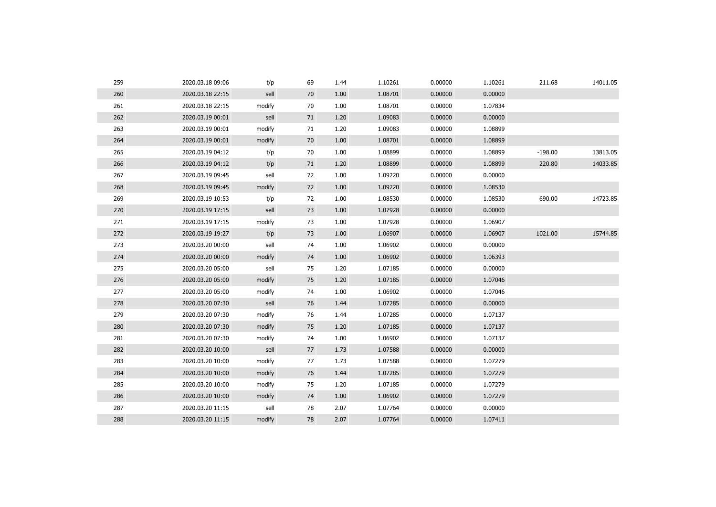| 259 | 2020.03.18 09:06 | t/p    | 69 | 1.44 | 1.10261 | 0.00000 | 1.10261 | 211.68    | 14011.05 |
|-----|------------------|--------|----|------|---------|---------|---------|-----------|----------|
| 260 | 2020.03.18 22:15 | sell   | 70 | 1.00 | 1.08701 | 0.00000 | 0.00000 |           |          |
| 261 | 2020.03.18 22:15 | modify | 70 | 1.00 | 1.08701 | 0.00000 | 1.07834 |           |          |
| 262 | 2020.03.19 00:01 | sell   | 71 | 1.20 | 1.09083 | 0.00000 | 0.00000 |           |          |
| 263 | 2020.03.19 00:01 | modify | 71 | 1.20 | 1.09083 | 0.00000 | 1.08899 |           |          |
| 264 | 2020.03.19 00:01 | modify | 70 | 1.00 | 1.08701 | 0.00000 | 1.08899 |           |          |
| 265 | 2020.03.19 04:12 | t/p    | 70 | 1.00 | 1.08899 | 0.00000 | 1.08899 | $-198.00$ | 13813.05 |
| 266 | 2020.03.19 04:12 | t/p    | 71 | 1.20 | 1.08899 | 0.00000 | 1.08899 | 220.80    | 14033.85 |
| 267 | 2020.03.19 09:45 | sell   | 72 | 1.00 | 1.09220 | 0.00000 | 0.00000 |           |          |
| 268 | 2020.03.19 09:45 | modify | 72 | 1.00 | 1.09220 | 0.00000 | 1.08530 |           |          |
| 269 | 2020.03.19 10:53 | t/p    | 72 | 1.00 | 1.08530 | 0.00000 | 1.08530 | 690.00    | 14723.85 |
| 270 | 2020.03.19 17:15 | sell   | 73 | 1.00 | 1.07928 | 0.00000 | 0.00000 |           |          |
| 271 | 2020.03.19 17:15 | modify | 73 | 1.00 | 1.07928 | 0.00000 | 1.06907 |           |          |
| 272 | 2020.03.19 19:27 | t/p    | 73 | 1.00 | 1.06907 | 0.00000 | 1.06907 | 1021.00   | 15744.85 |
| 273 | 2020.03.20 00:00 | sell   | 74 | 1.00 | 1.06902 | 0.00000 | 0.00000 |           |          |
| 274 | 2020.03.20 00:00 | modify | 74 | 1.00 | 1.06902 | 0.00000 | 1.06393 |           |          |
| 275 | 2020.03.20 05:00 | sell   | 75 | 1.20 | 1.07185 | 0.00000 | 0.00000 |           |          |
| 276 | 2020.03.20 05:00 | modify | 75 | 1.20 | 1.07185 | 0.00000 | 1.07046 |           |          |
| 277 | 2020.03.20 05:00 | modify | 74 | 1.00 | 1.06902 | 0.00000 | 1.07046 |           |          |
| 278 | 2020.03.20 07:30 | sell   | 76 | 1.44 | 1.07285 | 0.00000 | 0.00000 |           |          |
| 279 | 2020.03.20 07:30 | modify | 76 | 1.44 | 1.07285 | 0.00000 | 1.07137 |           |          |
| 280 | 2020.03.20 07:30 | modify | 75 | 1.20 | 1.07185 | 0.00000 | 1.07137 |           |          |
| 281 | 2020.03.20 07:30 | modify | 74 | 1.00 | 1.06902 | 0.00000 | 1.07137 |           |          |
| 282 | 2020.03.20 10:00 | sell   | 77 | 1.73 | 1.07588 | 0.00000 | 0.00000 |           |          |
| 283 | 2020.03.20 10:00 | modify | 77 | 1.73 | 1.07588 | 0.00000 | 1.07279 |           |          |
| 284 | 2020.03.20 10:00 | modify | 76 | 1.44 | 1.07285 | 0.00000 | 1.07279 |           |          |
| 285 | 2020.03.20 10:00 | modify | 75 | 1.20 | 1.07185 | 0.00000 | 1.07279 |           |          |
| 286 | 2020.03.20 10:00 | modify | 74 | 1.00 | 1.06902 | 0.00000 | 1.07279 |           |          |
| 287 | 2020.03.20 11:15 | sell   | 78 | 2.07 | 1.07764 | 0.00000 | 0.00000 |           |          |
| 288 | 2020.03.20 11:15 | modify | 78 | 2.07 | 1.07764 | 0.00000 | 1.07411 |           |          |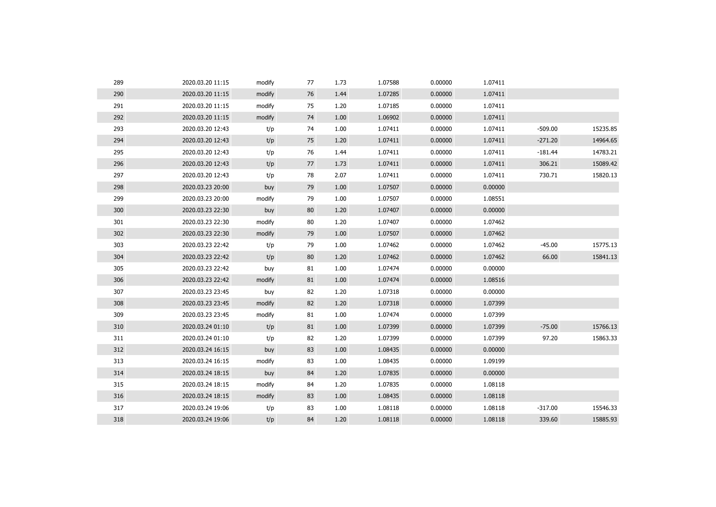| 289 | 2020.03.20 11:15 | modify | 77 | 1.73 | 1.07588 | 0.00000 | 1.07411 |           |          |
|-----|------------------|--------|----|------|---------|---------|---------|-----------|----------|
| 290 | 2020.03.20 11:15 | modify | 76 | 1.44 | 1.07285 | 0.00000 | 1.07411 |           |          |
| 291 | 2020.03.20 11:15 | modify | 75 | 1.20 | 1.07185 | 0.00000 | 1.07411 |           |          |
| 292 | 2020.03.20 11:15 | modify | 74 | 1.00 | 1.06902 | 0.00000 | 1.07411 |           |          |
| 293 | 2020.03.20 12:43 | t/p    | 74 | 1.00 | 1.07411 | 0.00000 | 1.07411 | $-509.00$ | 15235.85 |
| 294 | 2020.03.20 12:43 | t/p    | 75 | 1.20 | 1.07411 | 0.00000 | 1.07411 | $-271.20$ | 14964.65 |
| 295 | 2020.03.20 12:43 | t/p    | 76 | 1.44 | 1.07411 | 0.00000 | 1.07411 | $-181.44$ | 14783.21 |
| 296 | 2020.03.20 12:43 | t/p    | 77 | 1.73 | 1.07411 | 0.00000 | 1.07411 | 306.21    | 15089.42 |
| 297 | 2020.03.20 12:43 | t/p    | 78 | 2.07 | 1.07411 | 0.00000 | 1.07411 | 730.71    | 15820.13 |
| 298 | 2020.03.23 20:00 | buy    | 79 | 1.00 | 1.07507 | 0.00000 | 0.00000 |           |          |
| 299 | 2020.03.23 20:00 | modify | 79 | 1.00 | 1.07507 | 0.00000 | 1.08551 |           |          |
| 300 | 2020.03.23 22:30 | buy    | 80 | 1.20 | 1.07407 | 0.00000 | 0.00000 |           |          |
| 301 | 2020.03.23 22:30 | modify | 80 | 1.20 | 1.07407 | 0.00000 | 1.07462 |           |          |
| 302 | 2020.03.23 22:30 | modify | 79 | 1.00 | 1.07507 | 0.00000 | 1.07462 |           |          |
| 303 | 2020.03.23 22:42 | t/p    | 79 | 1.00 | 1.07462 | 0.00000 | 1.07462 | $-45.00$  | 15775.13 |
| 304 | 2020.03.23 22:42 | t/p    | 80 | 1.20 | 1.07462 | 0.00000 | 1.07462 | 66.00     | 15841.13 |
| 305 | 2020.03.23 22:42 | buy    | 81 | 1.00 | 1.07474 | 0.00000 | 0.00000 |           |          |
| 306 | 2020.03.23 22:42 | modify | 81 | 1.00 | 1.07474 | 0.00000 | 1.08516 |           |          |
| 307 | 2020.03.23 23:45 | buy    | 82 | 1.20 | 1.07318 | 0.00000 | 0.00000 |           |          |
| 308 | 2020.03.23 23:45 | modify | 82 | 1.20 | 1.07318 | 0.00000 | 1.07399 |           |          |
| 309 | 2020.03.23 23:45 | modify | 81 | 1.00 | 1.07474 | 0.00000 | 1.07399 |           |          |
| 310 | 2020.03.24 01:10 | t/p    | 81 | 1.00 | 1.07399 | 0.00000 | 1.07399 | $-75.00$  | 15766.13 |
| 311 | 2020.03.24 01:10 | t/p    | 82 | 1.20 | 1.07399 | 0.00000 | 1.07399 | 97.20     | 15863.33 |
| 312 | 2020.03.24 16:15 | buy    | 83 | 1.00 | 1.08435 | 0.00000 | 0.00000 |           |          |
| 313 | 2020.03.24 16:15 | modify | 83 | 1.00 | 1.08435 | 0.00000 | 1.09199 |           |          |
| 314 | 2020.03.24 18:15 | buy    | 84 | 1.20 | 1.07835 | 0.00000 | 0.00000 |           |          |
| 315 | 2020.03.24 18:15 | modify | 84 | 1.20 | 1.07835 | 0.00000 | 1.08118 |           |          |
| 316 | 2020.03.24 18:15 | modify | 83 | 1.00 | 1.08435 | 0.00000 | 1.08118 |           |          |
| 317 | 2020.03.24 19:06 | t/p    | 83 | 1.00 | 1.08118 | 0.00000 | 1.08118 | $-317.00$ | 15546.33 |
| 318 | 2020.03.24 19:06 | t/p    | 84 | 1.20 | 1.08118 | 0.00000 | 1.08118 | 339.60    | 15885.93 |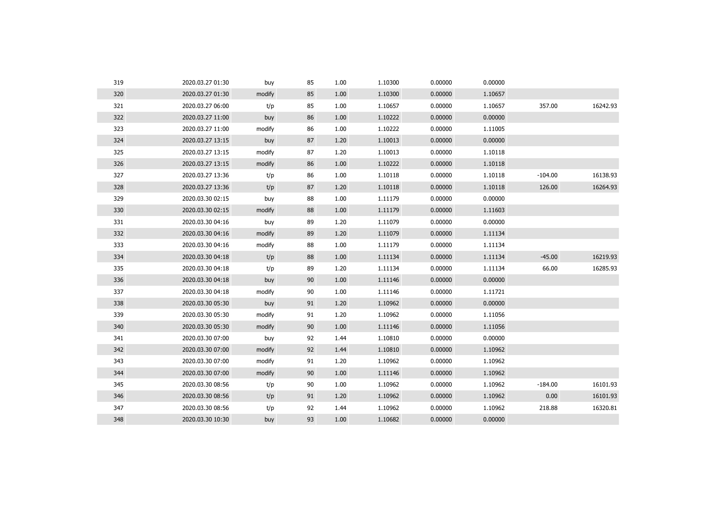| 320<br>85<br>1.10300<br>0.00000<br>2020.03.27 01:30<br>modify<br>1.00<br>1.10657<br>321<br>85<br>0.00000<br>357.00<br>2020.03.27 06:00<br>1.00<br>1.10657<br>1.10657<br>t/p<br>86<br>322<br>1.00<br>1.10222<br>0.00000<br>0.00000<br>2020.03.27 11:00<br>buy<br>323<br>86<br>1.00<br>1.10222<br>0.00000<br>1.11005<br>2020.03.27 11:00<br>modify<br>324<br>87<br>1.10013<br>0.00000<br>0.00000<br>2020.03.27 13:15<br>1.20<br>buy<br>325<br>87<br>1.20<br>1.10013<br>0.00000<br>1.10118<br>2020.03.27 13:15<br>modify<br>86<br>326<br>2020.03.27 13:15<br>1.00<br>1.10222<br>0.00000<br>1.10118<br>modify<br>327<br>86<br>1.10118<br>0.00000<br>$-104.00$<br>1.00<br>1.10118<br>2020.03.27 13:36<br>t/p<br>328<br>87<br>1.10118<br>0.00000<br>1.10118<br>126.00<br>2020.03.27 13:36<br>1.20<br>t/p<br>329<br>88<br>1.00<br>0.00000<br>0.00000<br>2020.03.30 02:15<br>1.11179<br>buy<br>330<br>88<br>0.00000<br>1.11603<br>2020.03.30 02:15<br>1.00<br>1.11179<br>modify<br>331<br>89<br>0.00000<br>1.20<br>1.11079<br>0.00000<br>2020.03.30 04:16<br>buy<br>332<br>89<br>1.11079<br>0.00000<br>1.11134<br>2020.03.30 04:16<br>modify<br>1.20<br>333<br>88<br>1.00<br>0.00000<br>1.11134<br>2020.03.30 04:16<br>modify<br>1.11179<br>334<br>88<br>$-45.00$<br>1.00<br>1.11134<br>0.00000<br>1.11134<br>2020.03.30 04:18<br>t/p<br>335<br>89<br>0.00000<br>66.00<br>2020.03.30 04:18<br>1.20<br>1.11134<br>1.11134<br>t/p<br>336<br>90<br>1.11146<br>0.00000<br>0.00000<br>2020.03.30 04:18<br>buy<br>1.00<br>337<br>90<br>1.00<br>1.11146<br>0.00000<br>1.11721<br>2020.03.30 04:18<br>modify<br>338<br>91<br>0.00000<br>2020.03.30 05:30<br>1.20<br>1.10962<br>0.00000<br>buy<br>339<br>91<br>1.10962<br>0.00000<br>2020.03.30 05:30<br>modify<br>1.20<br>1.11056<br>90<br>340<br>1.11146<br>0.00000<br>1.11056<br>2020.03.30 05:30<br>modify<br>1.00<br>341<br>92<br>1.44<br>1.10810<br>0.00000<br>0.00000<br>2020.03.30 07:00<br>buy<br>342<br>92<br>0.00000<br>2020.03.30 07:00<br>modify<br>1.44<br>1.10810<br>1.10962<br>343<br>91<br>1.10962<br>0.00000<br>2020.03.30 07:00<br>modify<br>1.20<br>1.10962<br>344<br>90<br>1.00<br>1.11146<br>0.00000<br>1.10962<br>2020.03.30 07:00<br>modify<br>345<br>$-184.00$<br>90<br>1.00<br>1.10962<br>0.00000<br>1.10962<br>2020.03.30 08:56<br>t/p<br>346<br>91<br>1.10962<br>0.00000<br>1.10962<br>0.00<br>2020.03.30 08:56<br>t/p<br>1.20<br>347<br>92<br>1.44<br>1.10962<br>0.00000<br>1.10962<br>218.88<br>2020.03.30 08:56<br>t/p<br>348<br>93<br>1.10682<br>0.00000<br>2020.03.30 10:30<br>1.00<br>0.00000<br>buy | 319 | 2020.03.27 01:30 | buy | 85 | 1.00 | 1.10300 | 0.00000 | 0.00000 |          |
|-----------------------------------------------------------------------------------------------------------------------------------------------------------------------------------------------------------------------------------------------------------------------------------------------------------------------------------------------------------------------------------------------------------------------------------------------------------------------------------------------------------------------------------------------------------------------------------------------------------------------------------------------------------------------------------------------------------------------------------------------------------------------------------------------------------------------------------------------------------------------------------------------------------------------------------------------------------------------------------------------------------------------------------------------------------------------------------------------------------------------------------------------------------------------------------------------------------------------------------------------------------------------------------------------------------------------------------------------------------------------------------------------------------------------------------------------------------------------------------------------------------------------------------------------------------------------------------------------------------------------------------------------------------------------------------------------------------------------------------------------------------------------------------------------------------------------------------------------------------------------------------------------------------------------------------------------------------------------------------------------------------------------------------------------------------------------------------------------------------------------------------------------------------------------------------------------------------------------------------------------------------------------------------------------------------------------------------------------------------------------------------------------------------------------------------------------------------------------------------------------------------------------------------------------------------------------|-----|------------------|-----|----|------|---------|---------|---------|----------|
|                                                                                                                                                                                                                                                                                                                                                                                                                                                                                                                                                                                                                                                                                                                                                                                                                                                                                                                                                                                                                                                                                                                                                                                                                                                                                                                                                                                                                                                                                                                                                                                                                                                                                                                                                                                                                                                                                                                                                                                                                                                                                                                                                                                                                                                                                                                                                                                                                                                                                                                                                                       |     |                  |     |    |      |         |         |         |          |
|                                                                                                                                                                                                                                                                                                                                                                                                                                                                                                                                                                                                                                                                                                                                                                                                                                                                                                                                                                                                                                                                                                                                                                                                                                                                                                                                                                                                                                                                                                                                                                                                                                                                                                                                                                                                                                                                                                                                                                                                                                                                                                                                                                                                                                                                                                                                                                                                                                                                                                                                                                       |     |                  |     |    |      |         |         |         | 16242.93 |
|                                                                                                                                                                                                                                                                                                                                                                                                                                                                                                                                                                                                                                                                                                                                                                                                                                                                                                                                                                                                                                                                                                                                                                                                                                                                                                                                                                                                                                                                                                                                                                                                                                                                                                                                                                                                                                                                                                                                                                                                                                                                                                                                                                                                                                                                                                                                                                                                                                                                                                                                                                       |     |                  |     |    |      |         |         |         |          |
|                                                                                                                                                                                                                                                                                                                                                                                                                                                                                                                                                                                                                                                                                                                                                                                                                                                                                                                                                                                                                                                                                                                                                                                                                                                                                                                                                                                                                                                                                                                                                                                                                                                                                                                                                                                                                                                                                                                                                                                                                                                                                                                                                                                                                                                                                                                                                                                                                                                                                                                                                                       |     |                  |     |    |      |         |         |         |          |
|                                                                                                                                                                                                                                                                                                                                                                                                                                                                                                                                                                                                                                                                                                                                                                                                                                                                                                                                                                                                                                                                                                                                                                                                                                                                                                                                                                                                                                                                                                                                                                                                                                                                                                                                                                                                                                                                                                                                                                                                                                                                                                                                                                                                                                                                                                                                                                                                                                                                                                                                                                       |     |                  |     |    |      |         |         |         |          |
|                                                                                                                                                                                                                                                                                                                                                                                                                                                                                                                                                                                                                                                                                                                                                                                                                                                                                                                                                                                                                                                                                                                                                                                                                                                                                                                                                                                                                                                                                                                                                                                                                                                                                                                                                                                                                                                                                                                                                                                                                                                                                                                                                                                                                                                                                                                                                                                                                                                                                                                                                                       |     |                  |     |    |      |         |         |         |          |
|                                                                                                                                                                                                                                                                                                                                                                                                                                                                                                                                                                                                                                                                                                                                                                                                                                                                                                                                                                                                                                                                                                                                                                                                                                                                                                                                                                                                                                                                                                                                                                                                                                                                                                                                                                                                                                                                                                                                                                                                                                                                                                                                                                                                                                                                                                                                                                                                                                                                                                                                                                       |     |                  |     |    |      |         |         |         |          |
|                                                                                                                                                                                                                                                                                                                                                                                                                                                                                                                                                                                                                                                                                                                                                                                                                                                                                                                                                                                                                                                                                                                                                                                                                                                                                                                                                                                                                                                                                                                                                                                                                                                                                                                                                                                                                                                                                                                                                                                                                                                                                                                                                                                                                                                                                                                                                                                                                                                                                                                                                                       |     |                  |     |    |      |         |         |         | 16138.93 |
|                                                                                                                                                                                                                                                                                                                                                                                                                                                                                                                                                                                                                                                                                                                                                                                                                                                                                                                                                                                                                                                                                                                                                                                                                                                                                                                                                                                                                                                                                                                                                                                                                                                                                                                                                                                                                                                                                                                                                                                                                                                                                                                                                                                                                                                                                                                                                                                                                                                                                                                                                                       |     |                  |     |    |      |         |         |         | 16264.93 |
|                                                                                                                                                                                                                                                                                                                                                                                                                                                                                                                                                                                                                                                                                                                                                                                                                                                                                                                                                                                                                                                                                                                                                                                                                                                                                                                                                                                                                                                                                                                                                                                                                                                                                                                                                                                                                                                                                                                                                                                                                                                                                                                                                                                                                                                                                                                                                                                                                                                                                                                                                                       |     |                  |     |    |      |         |         |         |          |
|                                                                                                                                                                                                                                                                                                                                                                                                                                                                                                                                                                                                                                                                                                                                                                                                                                                                                                                                                                                                                                                                                                                                                                                                                                                                                                                                                                                                                                                                                                                                                                                                                                                                                                                                                                                                                                                                                                                                                                                                                                                                                                                                                                                                                                                                                                                                                                                                                                                                                                                                                                       |     |                  |     |    |      |         |         |         |          |
|                                                                                                                                                                                                                                                                                                                                                                                                                                                                                                                                                                                                                                                                                                                                                                                                                                                                                                                                                                                                                                                                                                                                                                                                                                                                                                                                                                                                                                                                                                                                                                                                                                                                                                                                                                                                                                                                                                                                                                                                                                                                                                                                                                                                                                                                                                                                                                                                                                                                                                                                                                       |     |                  |     |    |      |         |         |         |          |
|                                                                                                                                                                                                                                                                                                                                                                                                                                                                                                                                                                                                                                                                                                                                                                                                                                                                                                                                                                                                                                                                                                                                                                                                                                                                                                                                                                                                                                                                                                                                                                                                                                                                                                                                                                                                                                                                                                                                                                                                                                                                                                                                                                                                                                                                                                                                                                                                                                                                                                                                                                       |     |                  |     |    |      |         |         |         |          |
|                                                                                                                                                                                                                                                                                                                                                                                                                                                                                                                                                                                                                                                                                                                                                                                                                                                                                                                                                                                                                                                                                                                                                                                                                                                                                                                                                                                                                                                                                                                                                                                                                                                                                                                                                                                                                                                                                                                                                                                                                                                                                                                                                                                                                                                                                                                                                                                                                                                                                                                                                                       |     |                  |     |    |      |         |         |         |          |
|                                                                                                                                                                                                                                                                                                                                                                                                                                                                                                                                                                                                                                                                                                                                                                                                                                                                                                                                                                                                                                                                                                                                                                                                                                                                                                                                                                                                                                                                                                                                                                                                                                                                                                                                                                                                                                                                                                                                                                                                                                                                                                                                                                                                                                                                                                                                                                                                                                                                                                                                                                       |     |                  |     |    |      |         |         |         | 16219.93 |
|                                                                                                                                                                                                                                                                                                                                                                                                                                                                                                                                                                                                                                                                                                                                                                                                                                                                                                                                                                                                                                                                                                                                                                                                                                                                                                                                                                                                                                                                                                                                                                                                                                                                                                                                                                                                                                                                                                                                                                                                                                                                                                                                                                                                                                                                                                                                                                                                                                                                                                                                                                       |     |                  |     |    |      |         |         |         | 16285.93 |
|                                                                                                                                                                                                                                                                                                                                                                                                                                                                                                                                                                                                                                                                                                                                                                                                                                                                                                                                                                                                                                                                                                                                                                                                                                                                                                                                                                                                                                                                                                                                                                                                                                                                                                                                                                                                                                                                                                                                                                                                                                                                                                                                                                                                                                                                                                                                                                                                                                                                                                                                                                       |     |                  |     |    |      |         |         |         |          |
|                                                                                                                                                                                                                                                                                                                                                                                                                                                                                                                                                                                                                                                                                                                                                                                                                                                                                                                                                                                                                                                                                                                                                                                                                                                                                                                                                                                                                                                                                                                                                                                                                                                                                                                                                                                                                                                                                                                                                                                                                                                                                                                                                                                                                                                                                                                                                                                                                                                                                                                                                                       |     |                  |     |    |      |         |         |         |          |
|                                                                                                                                                                                                                                                                                                                                                                                                                                                                                                                                                                                                                                                                                                                                                                                                                                                                                                                                                                                                                                                                                                                                                                                                                                                                                                                                                                                                                                                                                                                                                                                                                                                                                                                                                                                                                                                                                                                                                                                                                                                                                                                                                                                                                                                                                                                                                                                                                                                                                                                                                                       |     |                  |     |    |      |         |         |         |          |
|                                                                                                                                                                                                                                                                                                                                                                                                                                                                                                                                                                                                                                                                                                                                                                                                                                                                                                                                                                                                                                                                                                                                                                                                                                                                                                                                                                                                                                                                                                                                                                                                                                                                                                                                                                                                                                                                                                                                                                                                                                                                                                                                                                                                                                                                                                                                                                                                                                                                                                                                                                       |     |                  |     |    |      |         |         |         |          |
|                                                                                                                                                                                                                                                                                                                                                                                                                                                                                                                                                                                                                                                                                                                                                                                                                                                                                                                                                                                                                                                                                                                                                                                                                                                                                                                                                                                                                                                                                                                                                                                                                                                                                                                                                                                                                                                                                                                                                                                                                                                                                                                                                                                                                                                                                                                                                                                                                                                                                                                                                                       |     |                  |     |    |      |         |         |         |          |
|                                                                                                                                                                                                                                                                                                                                                                                                                                                                                                                                                                                                                                                                                                                                                                                                                                                                                                                                                                                                                                                                                                                                                                                                                                                                                                                                                                                                                                                                                                                                                                                                                                                                                                                                                                                                                                                                                                                                                                                                                                                                                                                                                                                                                                                                                                                                                                                                                                                                                                                                                                       |     |                  |     |    |      |         |         |         |          |
|                                                                                                                                                                                                                                                                                                                                                                                                                                                                                                                                                                                                                                                                                                                                                                                                                                                                                                                                                                                                                                                                                                                                                                                                                                                                                                                                                                                                                                                                                                                                                                                                                                                                                                                                                                                                                                                                                                                                                                                                                                                                                                                                                                                                                                                                                                                                                                                                                                                                                                                                                                       |     |                  |     |    |      |         |         |         |          |
|                                                                                                                                                                                                                                                                                                                                                                                                                                                                                                                                                                                                                                                                                                                                                                                                                                                                                                                                                                                                                                                                                                                                                                                                                                                                                                                                                                                                                                                                                                                                                                                                                                                                                                                                                                                                                                                                                                                                                                                                                                                                                                                                                                                                                                                                                                                                                                                                                                                                                                                                                                       |     |                  |     |    |      |         |         |         |          |
|                                                                                                                                                                                                                                                                                                                                                                                                                                                                                                                                                                                                                                                                                                                                                                                                                                                                                                                                                                                                                                                                                                                                                                                                                                                                                                                                                                                                                                                                                                                                                                                                                                                                                                                                                                                                                                                                                                                                                                                                                                                                                                                                                                                                                                                                                                                                                                                                                                                                                                                                                                       |     |                  |     |    |      |         |         |         |          |
|                                                                                                                                                                                                                                                                                                                                                                                                                                                                                                                                                                                                                                                                                                                                                                                                                                                                                                                                                                                                                                                                                                                                                                                                                                                                                                                                                                                                                                                                                                                                                                                                                                                                                                                                                                                                                                                                                                                                                                                                                                                                                                                                                                                                                                                                                                                                                                                                                                                                                                                                                                       |     |                  |     |    |      |         |         |         | 16101.93 |
|                                                                                                                                                                                                                                                                                                                                                                                                                                                                                                                                                                                                                                                                                                                                                                                                                                                                                                                                                                                                                                                                                                                                                                                                                                                                                                                                                                                                                                                                                                                                                                                                                                                                                                                                                                                                                                                                                                                                                                                                                                                                                                                                                                                                                                                                                                                                                                                                                                                                                                                                                                       |     |                  |     |    |      |         |         |         | 16101.93 |
|                                                                                                                                                                                                                                                                                                                                                                                                                                                                                                                                                                                                                                                                                                                                                                                                                                                                                                                                                                                                                                                                                                                                                                                                                                                                                                                                                                                                                                                                                                                                                                                                                                                                                                                                                                                                                                                                                                                                                                                                                                                                                                                                                                                                                                                                                                                                                                                                                                                                                                                                                                       |     |                  |     |    |      |         |         |         | 16320.81 |
|                                                                                                                                                                                                                                                                                                                                                                                                                                                                                                                                                                                                                                                                                                                                                                                                                                                                                                                                                                                                                                                                                                                                                                                                                                                                                                                                                                                                                                                                                                                                                                                                                                                                                                                                                                                                                                                                                                                                                                                                                                                                                                                                                                                                                                                                                                                                                                                                                                                                                                                                                                       |     |                  |     |    |      |         |         |         |          |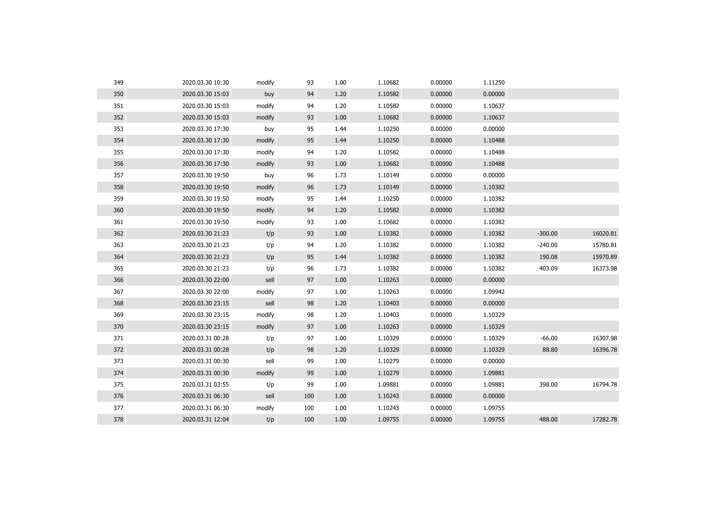| 349 | 2020.03.30 10:30 | modify | 93  | 1.00 | 1.10682 | 0.00000 | 1.11250 |           |          |
|-----|------------------|--------|-----|------|---------|---------|---------|-----------|----------|
| 350 | 2020.03.30 15:03 | buy    | 94  | 1.20 | 1.10582 | 0.00000 | 0.00000 |           |          |
| 351 | 2020.03.30 15:03 | modify | 94  | 1.20 | 1.10582 | 0.00000 | 1.10637 |           |          |
| 352 | 2020.03.30 15:03 | modify | 93  | 1.00 | 1.10682 | 0.00000 | 1.10637 |           |          |
| 353 | 2020.03.30 17:30 | buy    | 95  | 1.44 | 1.10250 | 0.00000 | 0.00000 |           |          |
| 354 | 2020.03.30 17:30 | modify | 95  | 1.44 | 1.10250 | 0.00000 | 1.10488 |           |          |
| 355 | 2020.03.30 17:30 | modify | 94  | 1.20 | 1.10582 | 0.00000 | 1.10488 |           |          |
| 356 | 2020.03.30 17:30 | modify | 93  | 1.00 | 1.10682 | 0.00000 | 1.10488 |           |          |
| 357 | 2020.03.30 19:50 | buy    | 96  | 1.73 | 1.10149 | 0.00000 | 0.00000 |           |          |
| 358 | 2020.03.30 19:50 | modify | 96  | 1.73 | 1.10149 | 0.00000 | 1.10382 |           |          |
| 359 | 2020.03.30 19:50 | modify | 95  | 1.44 | 1.10250 | 0.00000 | 1.10382 |           |          |
| 360 | 2020.03.30 19:50 | modify | 94  | 1.20 | 1.10582 | 0.00000 | 1.10382 |           |          |
| 361 | 2020.03.30 19:50 | modify | 93  | 1.00 | 1.10682 | 0.00000 | 1.10382 |           |          |
| 362 | 2020.03.30 21:23 | t/p    | 93  | 1.00 | 1.10382 | 0.00000 | 1.10382 | $-300.00$ | 16020.81 |
| 363 | 2020.03.30 21:23 | t/p    | 94  | 1.20 | 1.10382 | 0.00000 | 1.10382 | $-240.00$ | 15780.81 |
| 364 | 2020.03.30 21:23 | t/p    | 95  | 1.44 | 1.10382 | 0.00000 | 1.10382 | 190.08    | 15970.89 |
| 365 | 2020.03.30 21:23 | t/p    | 96  | 1.73 | 1.10382 | 0.00000 | 1.10382 | 403.09    | 16373.98 |
| 366 | 2020.03.30 22:00 | sell   | 97  | 1.00 | 1.10263 | 0.00000 | 0.00000 |           |          |
| 367 | 2020.03.30 22:00 | modify | 97  | 1.00 | 1.10263 | 0.00000 | 1.09942 |           |          |
| 368 | 2020.03.30 23:15 | sell   | 98  | 1.20 | 1.10403 | 0.00000 | 0.00000 |           |          |
| 369 | 2020.03.30 23:15 | modify | 98  | 1.20 | 1.10403 | 0.00000 | 1.10329 |           |          |
| 370 | 2020.03.30 23:15 | modify | 97  | 1.00 | 1.10263 | 0.00000 | 1.10329 |           |          |
| 371 | 2020.03.31 00:28 | t/p    | 97  | 1.00 | 1.10329 | 0.00000 | 1.10329 | $-66.00$  | 16307.98 |
| 372 | 2020.03.31 00:28 | t/p    | 98  | 1.20 | 1.10329 | 0.00000 | 1.10329 | 88.80     | 16396.78 |
| 373 | 2020.03.31 00:30 | sell   | 99  | 1.00 | 1.10279 | 0.00000 | 0.00000 |           |          |
| 374 | 2020.03.31 00:30 | modify | 99  | 1.00 | 1.10279 | 0.00000 | 1.09881 |           |          |
| 375 | 2020.03.31 03:55 | t/p    | 99  | 1.00 | 1.09881 | 0.00000 | 1.09881 | 398.00    | 16794.78 |
| 376 | 2020.03.31 06:30 | sell   | 100 | 1.00 | 1.10243 | 0.00000 | 0.00000 |           |          |
| 377 | 2020.03.31 06:30 | modify | 100 | 1.00 | 1.10243 | 0.00000 | 1.09755 |           |          |
| 378 | 2020.03.31 12:04 | t/p    | 100 | 1.00 | 1.09755 | 0.00000 | 1.09755 | 488.00    | 17282.78 |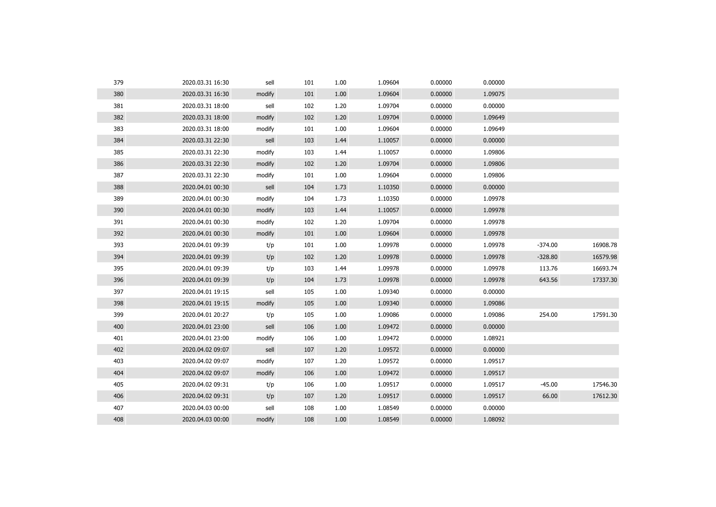| 379 | 2020.03.31 16:30 | sell   | 101 | 1.00 | 1.09604 | 0.00000 | 0.00000 |           |          |
|-----|------------------|--------|-----|------|---------|---------|---------|-----------|----------|
| 380 | 2020.03.31 16:30 | modify | 101 | 1.00 | 1.09604 | 0.00000 | 1.09075 |           |          |
| 381 | 2020.03.31 18:00 | sell   | 102 | 1.20 | 1.09704 | 0.00000 | 0.00000 |           |          |
| 382 | 2020.03.31 18:00 | modify | 102 | 1.20 | 1.09704 | 0.00000 | 1.09649 |           |          |
| 383 | 2020.03.31 18:00 | modify | 101 | 1.00 | 1.09604 | 0.00000 | 1.09649 |           |          |
| 384 | 2020.03.31 22:30 | sell   | 103 | 1.44 | 1.10057 | 0.00000 | 0.00000 |           |          |
| 385 | 2020.03.31 22:30 | modify | 103 | 1.44 | 1.10057 | 0.00000 | 1.09806 |           |          |
| 386 | 2020.03.31 22:30 | modify | 102 | 1.20 | 1.09704 | 0.00000 | 1.09806 |           |          |
| 387 | 2020.03.31 22:30 | modify | 101 | 1.00 | 1.09604 | 0.00000 | 1.09806 |           |          |
| 388 | 2020.04.01 00:30 | sell   | 104 | 1.73 | 1.10350 | 0.00000 | 0.00000 |           |          |
| 389 | 2020.04.01 00:30 | modify | 104 | 1.73 | 1.10350 | 0.00000 | 1.09978 |           |          |
| 390 | 2020.04.01 00:30 | modify | 103 | 1.44 | 1.10057 | 0.00000 | 1.09978 |           |          |
| 391 | 2020.04.01 00:30 | modify | 102 | 1.20 | 1.09704 | 0.00000 | 1.09978 |           |          |
| 392 | 2020.04.01 00:30 | modify | 101 | 1.00 | 1.09604 | 0.00000 | 1.09978 |           |          |
| 393 | 2020.04.01 09:39 | t/p    | 101 | 1.00 | 1.09978 | 0.00000 | 1.09978 | $-374.00$ | 16908.78 |
| 394 | 2020.04.01 09:39 | t/p    | 102 | 1.20 | 1.09978 | 0.00000 | 1.09978 | $-328.80$ | 16579.98 |
| 395 | 2020.04.01 09:39 | t/p    | 103 | 1.44 | 1.09978 | 0.00000 | 1.09978 | 113.76    | 16693.74 |
| 396 | 2020.04.01 09:39 | t/p    | 104 | 1.73 | 1.09978 | 0.00000 | 1.09978 | 643.56    | 17337.30 |
| 397 | 2020.04.01 19:15 | sell   | 105 | 1.00 | 1.09340 | 0.00000 | 0.00000 |           |          |
| 398 | 2020.04.01 19:15 | modify | 105 | 1.00 | 1.09340 | 0.00000 | 1.09086 |           |          |
| 399 | 2020.04.01 20:27 | t/p    | 105 | 1.00 | 1.09086 | 0.00000 | 1.09086 | 254.00    | 17591.30 |
| 400 | 2020.04.01 23:00 | sell   | 106 | 1.00 | 1.09472 | 0.00000 | 0.00000 |           |          |
| 401 | 2020.04.01 23:00 | modify | 106 | 1.00 | 1.09472 | 0.00000 | 1.08921 |           |          |
| 402 | 2020.04.02 09:07 | sell   | 107 | 1.20 | 1.09572 | 0.00000 | 0.00000 |           |          |
| 403 | 2020.04.02 09:07 | modify | 107 | 1.20 | 1.09572 | 0.00000 | 1.09517 |           |          |
| 404 | 2020.04.02 09:07 | modify | 106 | 1.00 | 1.09472 | 0.00000 | 1.09517 |           |          |
| 405 | 2020.04.02 09:31 | t/p    | 106 | 1.00 | 1.09517 | 0.00000 | 1.09517 | $-45.00$  | 17546.30 |
| 406 | 2020.04.02 09:31 | t/p    | 107 | 1.20 | 1.09517 | 0.00000 | 1.09517 | 66.00     | 17612.30 |
| 407 | 2020.04.03 00:00 | sell   | 108 | 1.00 | 1.08549 | 0.00000 | 0.00000 |           |          |
| 408 | 2020.04.03 00:00 | modify | 108 | 1.00 | 1.08549 | 0.00000 | 1.08092 |           |          |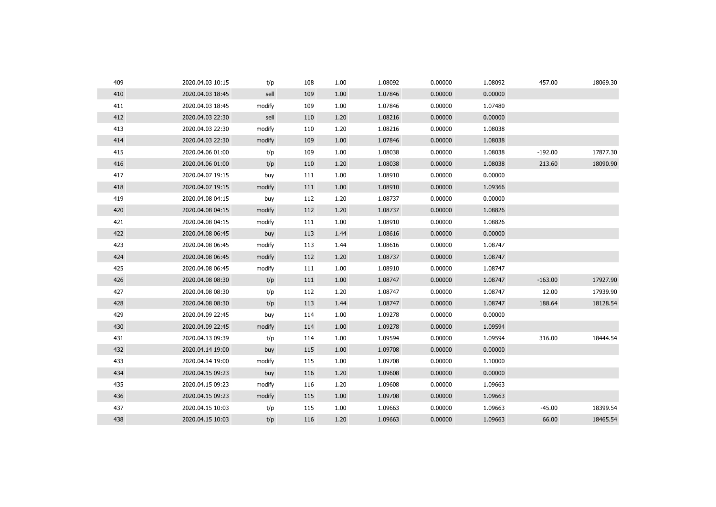| 409 | 2020.04.03 10:15 | t/p    | 108 | 1.00 | 1.08092 | 0.00000 | 1.08092 | 457.00    | 18069.30 |
|-----|------------------|--------|-----|------|---------|---------|---------|-----------|----------|
| 410 | 2020.04.03 18:45 | sell   | 109 | 1.00 | 1.07846 | 0.00000 | 0.00000 |           |          |
| 411 | 2020.04.03 18:45 | modify | 109 | 1.00 | 1.07846 | 0.00000 | 1.07480 |           |          |
| 412 | 2020.04.03 22:30 | sell   | 110 | 1.20 | 1.08216 | 0.00000 | 0.00000 |           |          |
| 413 | 2020.04.03 22:30 | modify | 110 | 1.20 | 1.08216 | 0.00000 | 1.08038 |           |          |
| 414 | 2020.04.03 22:30 | modify | 109 | 1.00 | 1.07846 | 0.00000 | 1.08038 |           |          |
| 415 | 2020.04.06 01:00 | t/p    | 109 | 1.00 | 1.08038 | 0.00000 | 1.08038 | $-192.00$ | 17877.30 |
| 416 | 2020.04.06 01:00 | t/p    | 110 | 1.20 | 1.08038 | 0.00000 | 1.08038 | 213.60    | 18090.90 |
| 417 | 2020.04.07 19:15 | buy    | 111 | 1.00 | 1.08910 | 0.00000 | 0.00000 |           |          |
| 418 | 2020.04.07 19:15 | modify | 111 | 1.00 | 1.08910 | 0.00000 | 1.09366 |           |          |
| 419 | 2020.04.08 04:15 | buy    | 112 | 1.20 | 1.08737 | 0.00000 | 0.00000 |           |          |
| 420 | 2020.04.08 04:15 | modify | 112 | 1.20 | 1.08737 | 0.00000 | 1.08826 |           |          |
| 421 | 2020.04.08 04:15 | modify | 111 | 1.00 | 1.08910 | 0.00000 | 1.08826 |           |          |
| 422 | 2020.04.08 06:45 | buy    | 113 | 1.44 | 1.08616 | 0.00000 | 0.00000 |           |          |
| 423 | 2020.04.08 06:45 | modify | 113 | 1.44 | 1.08616 | 0.00000 | 1.08747 |           |          |
| 424 | 2020.04.08 06:45 | modify | 112 | 1.20 | 1.08737 | 0.00000 | 1.08747 |           |          |
| 425 | 2020.04.08 06:45 | modify | 111 | 1.00 | 1.08910 | 0.00000 | 1.08747 |           |          |
| 426 | 2020.04.08 08:30 | t/p    | 111 | 1.00 | 1.08747 | 0.00000 | 1.08747 | $-163.00$ | 17927.90 |
| 427 | 2020.04.08 08:30 | t/p    | 112 | 1.20 | 1.08747 | 0.00000 | 1.08747 | 12.00     | 17939.90 |
| 428 | 2020.04.08 08:30 | t/p    | 113 | 1.44 | 1.08747 | 0.00000 | 1.08747 | 188.64    | 18128.54 |
| 429 | 2020.04.09 22:45 | buy    | 114 | 1.00 | 1.09278 | 0.00000 | 0.00000 |           |          |
| 430 | 2020.04.09 22:45 | modify | 114 | 1.00 | 1.09278 | 0.00000 | 1.09594 |           |          |
| 431 | 2020.04.13 09:39 | t/p    | 114 | 1.00 | 1.09594 | 0.00000 | 1.09594 | 316.00    | 18444.54 |
| 432 | 2020.04.14 19:00 | buy    | 115 | 1.00 | 1.09708 | 0.00000 | 0.00000 |           |          |
| 433 | 2020.04.14 19:00 | modify | 115 | 1.00 | 1.09708 | 0.00000 | 1.10000 |           |          |
| 434 | 2020.04.15 09:23 | buy    | 116 | 1.20 | 1.09608 | 0.00000 | 0.00000 |           |          |
| 435 | 2020.04.15 09:23 | modify | 116 | 1.20 | 1.09608 | 0.00000 | 1.09663 |           |          |
| 436 | 2020.04.15 09:23 | modify | 115 | 1.00 | 1.09708 | 0.00000 | 1.09663 |           |          |
| 437 | 2020.04.15 10:03 | t/p    | 115 | 1.00 | 1.09663 | 0.00000 | 1.09663 | $-45.00$  | 18399.54 |
| 438 | 2020.04.15 10:03 | t/p    | 116 | 1.20 | 1.09663 | 0.00000 | 1.09663 | 66.00     | 18465.54 |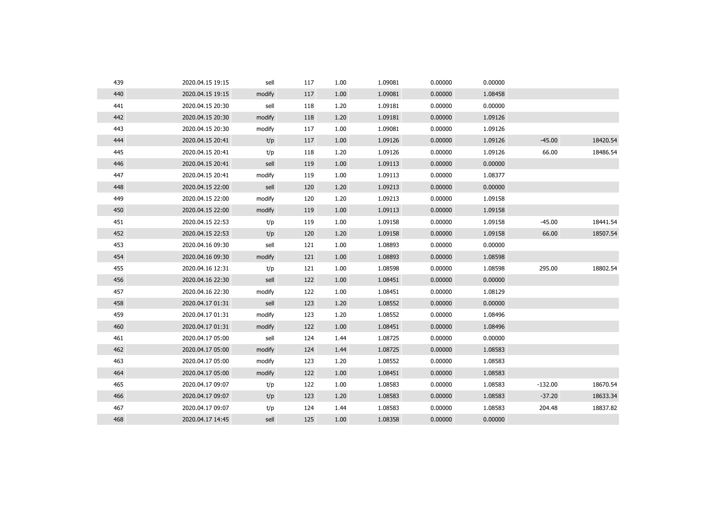| 439 | 2020.04.15 19:15 | sell   | 117 | 1.00 | 1.09081 | 0.00000 | 0.00000 |           |          |
|-----|------------------|--------|-----|------|---------|---------|---------|-----------|----------|
| 440 | 2020.04.15 19:15 | modify | 117 | 1.00 | 1.09081 | 0.00000 | 1.08458 |           |          |
| 441 | 2020.04.15 20:30 | sell   | 118 | 1.20 | 1.09181 | 0.00000 | 0.00000 |           |          |
| 442 | 2020.04.15 20:30 | modify | 118 | 1.20 | 1.09181 | 0.00000 | 1.09126 |           |          |
| 443 | 2020.04.15 20:30 | modify | 117 | 1.00 | 1.09081 | 0.00000 | 1.09126 |           |          |
| 444 | 2020.04.15 20:41 | t/p    | 117 | 1.00 | 1.09126 | 0.00000 | 1.09126 | $-45.00$  | 18420.54 |
| 445 | 2020.04.15 20:41 | t/p    | 118 | 1.20 | 1.09126 | 0.00000 | 1.09126 | 66.00     | 18486.54 |
| 446 | 2020.04.15 20:41 | sell   | 119 | 1.00 | 1.09113 | 0.00000 | 0.00000 |           |          |
| 447 | 2020.04.15 20:41 | modify | 119 | 1.00 | 1.09113 | 0.00000 | 1.08377 |           |          |
| 448 | 2020.04.15 22:00 | sell   | 120 | 1.20 | 1.09213 | 0.00000 | 0.00000 |           |          |
| 449 | 2020.04.15 22:00 | modify | 120 | 1.20 | 1.09213 | 0.00000 | 1.09158 |           |          |
| 450 | 2020.04.15 22:00 | modify | 119 | 1.00 | 1.09113 | 0.00000 | 1.09158 |           |          |
| 451 | 2020.04.15 22:53 | t/p    | 119 | 1.00 | 1.09158 | 0.00000 | 1.09158 | $-45.00$  | 18441.54 |
| 452 | 2020.04.15 22:53 | t/p    | 120 | 1.20 | 1.09158 | 0.00000 | 1.09158 | 66.00     | 18507.54 |
| 453 | 2020.04.16 09:30 | sell   | 121 | 1.00 | 1.08893 | 0.00000 | 0.00000 |           |          |
| 454 | 2020.04.16 09:30 | modify | 121 | 1.00 | 1.08893 | 0.00000 | 1.08598 |           |          |
| 455 | 2020.04.16 12:31 | t/p    | 121 | 1.00 | 1.08598 | 0.00000 | 1.08598 | 295.00    | 18802.54 |
| 456 | 2020.04.16 22:30 | sell   | 122 | 1.00 | 1.08451 | 0.00000 | 0.00000 |           |          |
| 457 | 2020.04.16 22:30 | modify | 122 | 1.00 | 1.08451 | 0.00000 | 1.08129 |           |          |
| 458 | 2020.04.17 01:31 | sell   | 123 | 1.20 | 1.08552 | 0.00000 | 0.00000 |           |          |
| 459 | 2020.04.17 01:31 | modify | 123 | 1.20 | 1.08552 | 0.00000 | 1.08496 |           |          |
| 460 | 2020.04.17 01:31 | modify | 122 | 1.00 | 1.08451 | 0.00000 | 1.08496 |           |          |
| 461 | 2020.04.17 05:00 | sell   | 124 | 1.44 | 1.08725 | 0.00000 | 0.00000 |           |          |
| 462 | 2020.04.17 05:00 | modify | 124 | 1.44 | 1.08725 | 0.00000 | 1.08583 |           |          |
| 463 | 2020.04.17 05:00 | modify | 123 | 1.20 | 1.08552 | 0.00000 | 1.08583 |           |          |
| 464 | 2020.04.17 05:00 | modify | 122 | 1.00 | 1.08451 | 0.00000 | 1.08583 |           |          |
| 465 | 2020.04.17 09:07 | t/p    | 122 | 1.00 | 1.08583 | 0.00000 | 1.08583 | $-132.00$ | 18670.54 |
| 466 | 2020.04.17 09:07 | t/p    | 123 | 1.20 | 1.08583 | 0.00000 | 1.08583 | $-37.20$  | 18633.34 |
| 467 | 2020.04.17 09:07 | t/p    | 124 | 1.44 | 1.08583 | 0.00000 | 1.08583 | 204.48    | 18837.82 |
| 468 | 2020.04.17 14:45 | sell   | 125 | 1.00 | 1.08358 | 0.00000 | 0.00000 |           |          |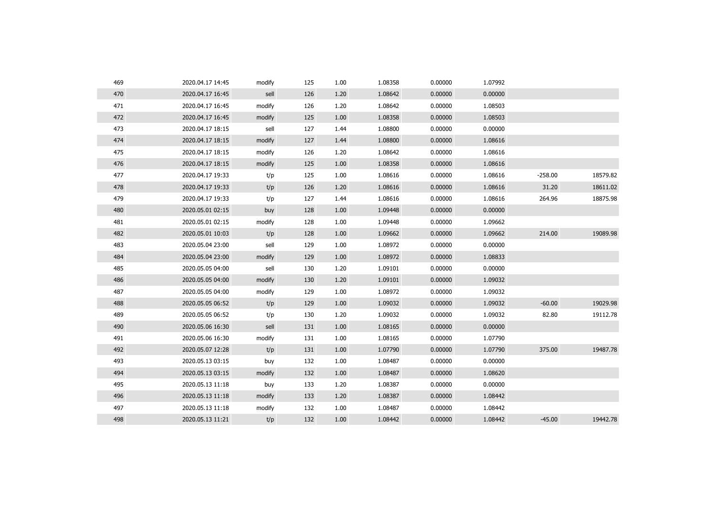| 469 | 2020.04.17 14:45 | modify | 125 | 1.00 | 1.08358 | 0.00000 | 1.07992 |           |          |
|-----|------------------|--------|-----|------|---------|---------|---------|-----------|----------|
| 470 | 2020.04.17 16:45 | sell   | 126 | 1.20 | 1.08642 | 0.00000 | 0.00000 |           |          |
| 471 | 2020.04.17 16:45 | modify | 126 | 1.20 | 1.08642 | 0.00000 | 1.08503 |           |          |
| 472 | 2020.04.17 16:45 | modify | 125 | 1.00 | 1.08358 | 0.00000 | 1.08503 |           |          |
| 473 | 2020.04.17 18:15 | sell   | 127 | 1.44 | 1.08800 | 0.00000 | 0.00000 |           |          |
| 474 | 2020.04.17 18:15 | modify | 127 | 1.44 | 1.08800 | 0.00000 | 1.08616 |           |          |
| 475 | 2020.04.17 18:15 | modify | 126 | 1.20 | 1.08642 | 0.00000 | 1.08616 |           |          |
| 476 | 2020.04.17 18:15 | modify | 125 | 1.00 | 1.08358 | 0.00000 | 1.08616 |           |          |
| 477 | 2020.04.17 19:33 | t/p    | 125 | 1.00 | 1.08616 | 0.00000 | 1.08616 | $-258.00$ | 18579.82 |
| 478 | 2020.04.17 19:33 | t/p    | 126 | 1.20 | 1.08616 | 0.00000 | 1.08616 | 31.20     | 18611.02 |
| 479 | 2020.04.17 19:33 | t/p    | 127 | 1.44 | 1.08616 | 0.00000 | 1.08616 | 264.96    | 18875.98 |
| 480 | 2020.05.01 02:15 | buy    | 128 | 1.00 | 1.09448 | 0.00000 | 0.00000 |           |          |
| 481 | 2020.05.01 02:15 | modify | 128 | 1.00 | 1.09448 | 0.00000 | 1.09662 |           |          |
| 482 | 2020.05.01 10:03 | t/p    | 128 | 1.00 | 1.09662 | 0.00000 | 1.09662 | 214.00    | 19089.98 |
| 483 | 2020.05.04 23:00 | sell   | 129 | 1.00 | 1.08972 | 0.00000 | 0.00000 |           |          |
| 484 | 2020.05.04 23:00 | modify | 129 | 1.00 | 1.08972 | 0.00000 | 1.08833 |           |          |
| 485 | 2020.05.05 04:00 | sell   | 130 | 1.20 | 1.09101 | 0.00000 | 0.00000 |           |          |
| 486 | 2020.05.05 04:00 | modify | 130 | 1.20 | 1.09101 | 0.00000 | 1.09032 |           |          |
| 487 | 2020.05.05 04:00 | modify | 129 | 1.00 | 1.08972 | 0.00000 | 1.09032 |           |          |
| 488 | 2020.05.05 06:52 | t/p    | 129 | 1.00 | 1.09032 | 0.00000 | 1.09032 | $-60.00$  | 19029.98 |
| 489 | 2020.05.05 06:52 | t/p    | 130 | 1.20 | 1.09032 | 0.00000 | 1.09032 | 82.80     | 19112.78 |
| 490 | 2020.05.06 16:30 | sell   | 131 | 1.00 | 1.08165 | 0.00000 | 0.00000 |           |          |
| 491 | 2020.05.06 16:30 | modify | 131 | 1.00 | 1.08165 | 0.00000 | 1.07790 |           |          |
| 492 | 2020.05.07 12:28 | t/p    | 131 | 1.00 | 1.07790 | 0.00000 | 1.07790 | 375.00    | 19487.78 |
| 493 | 2020.05.13 03:15 | buy    | 132 | 1.00 | 1.08487 | 0.00000 | 0.00000 |           |          |
| 494 | 2020.05.13 03:15 | modify | 132 | 1.00 | 1.08487 | 0.00000 | 1.08620 |           |          |
| 495 | 2020.05.13 11:18 | buy    | 133 | 1.20 | 1.08387 | 0.00000 | 0.00000 |           |          |
| 496 | 2020.05.13 11:18 | modify | 133 | 1.20 | 1.08387 | 0.00000 | 1.08442 |           |          |
| 497 | 2020.05.13 11:18 | modify | 132 | 1.00 | 1.08487 | 0.00000 | 1.08442 |           |          |
| 498 | 2020.05.13 11:21 | t/p    | 132 | 1.00 | 1.08442 | 0.00000 | 1.08442 | $-45.00$  | 19442.78 |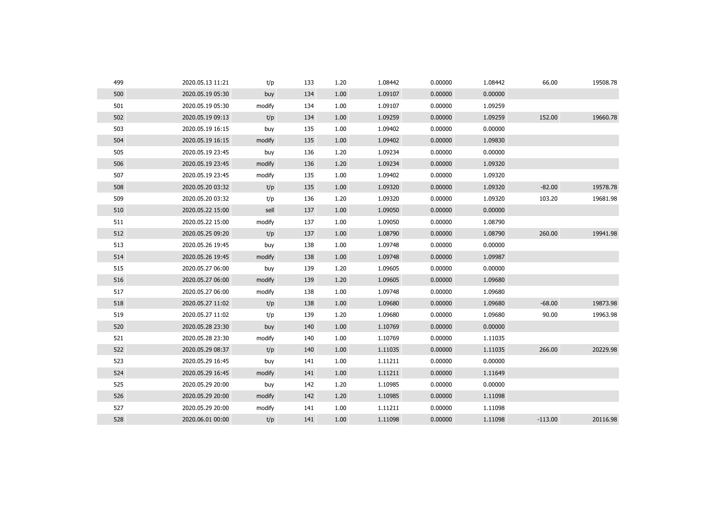| 499 | 2020.05.13 11:21 | t/p    | 133 | 1.20 | 1.08442 | 0.00000 | 1.08442 | 66.00     | 19508.78 |
|-----|------------------|--------|-----|------|---------|---------|---------|-----------|----------|
| 500 | 2020.05.19 05:30 | buy    | 134 | 1.00 | 1.09107 | 0.00000 | 0.00000 |           |          |
| 501 | 2020.05.19 05:30 | modify | 134 | 1.00 | 1.09107 | 0.00000 | 1.09259 |           |          |
| 502 | 2020.05.19 09:13 | t/p    | 134 | 1.00 | 1.09259 | 0.00000 | 1.09259 | 152.00    | 19660.78 |
| 503 | 2020.05.19 16:15 | buy    | 135 | 1.00 | 1.09402 | 0.00000 | 0.00000 |           |          |
| 504 | 2020.05.19 16:15 | modify | 135 | 1.00 | 1.09402 | 0.00000 | 1.09830 |           |          |
| 505 | 2020.05.19 23:45 | buy    | 136 | 1.20 | 1.09234 | 0.00000 | 0.00000 |           |          |
| 506 | 2020.05.19 23:45 | modify | 136 | 1.20 | 1.09234 | 0.00000 | 1.09320 |           |          |
| 507 | 2020.05.19 23:45 | modify | 135 | 1.00 | 1.09402 | 0.00000 | 1.09320 |           |          |
| 508 | 2020.05.20 03:32 | t/p    | 135 | 1.00 | 1.09320 | 0.00000 | 1.09320 | $-82.00$  | 19578.78 |
| 509 | 2020.05.20 03:32 | t/p    | 136 | 1.20 | 1.09320 | 0.00000 | 1.09320 | 103.20    | 19681.98 |
| 510 | 2020.05.22 15:00 | sell   | 137 | 1.00 | 1.09050 | 0.00000 | 0.00000 |           |          |
| 511 | 2020.05.22 15:00 | modify | 137 | 1.00 | 1.09050 | 0.00000 | 1.08790 |           |          |
| 512 | 2020.05.25 09:20 | t/p    | 137 | 1.00 | 1.08790 | 0.00000 | 1.08790 | 260.00    | 19941.98 |
| 513 | 2020.05.26 19:45 | buy    | 138 | 1.00 | 1.09748 | 0.00000 | 0.00000 |           |          |
| 514 | 2020.05.26 19:45 | modify | 138 | 1.00 | 1.09748 | 0.00000 | 1.09987 |           |          |
| 515 | 2020.05.27 06:00 | buy    | 139 | 1.20 | 1.09605 | 0.00000 | 0.00000 |           |          |
| 516 | 2020.05.27 06:00 | modify | 139 | 1.20 | 1.09605 | 0.00000 | 1.09680 |           |          |
| 517 | 2020.05.27 06:00 | modify | 138 | 1.00 | 1.09748 | 0.00000 | 1.09680 |           |          |
| 518 | 2020.05.27 11:02 | t/p    | 138 | 1.00 | 1.09680 | 0.00000 | 1.09680 | $-68.00$  | 19873.98 |
| 519 | 2020.05.27 11:02 | t/p    | 139 | 1.20 | 1.09680 | 0.00000 | 1.09680 | 90.00     | 19963.98 |
| 520 | 2020.05.28 23:30 | buy    | 140 | 1.00 | 1.10769 | 0.00000 | 0.00000 |           |          |
| 521 | 2020.05.28 23:30 | modify | 140 | 1.00 | 1.10769 | 0.00000 | 1.11035 |           |          |
| 522 | 2020.05.29 08:37 | t/p    | 140 | 1.00 | 1.11035 | 0.00000 | 1.11035 | 266.00    | 20229.98 |
| 523 | 2020.05.29 16:45 | buy    | 141 | 1.00 | 1.11211 | 0.00000 | 0.00000 |           |          |
| 524 | 2020.05.29 16:45 | modify | 141 | 1.00 | 1.11211 | 0.00000 | 1.11649 |           |          |
| 525 | 2020.05.29 20:00 | buy    | 142 | 1.20 | 1.10985 | 0.00000 | 0.00000 |           |          |
| 526 | 2020.05.29 20:00 | modify | 142 | 1.20 | 1.10985 | 0.00000 | 1.11098 |           |          |
| 527 | 2020.05.29 20:00 | modify | 141 | 1.00 | 1.11211 | 0.00000 | 1.11098 |           |          |
| 528 | 2020.06.01 00:00 | t/p    | 141 | 1.00 | 1.11098 | 0.00000 | 1.11098 | $-113.00$ | 20116.98 |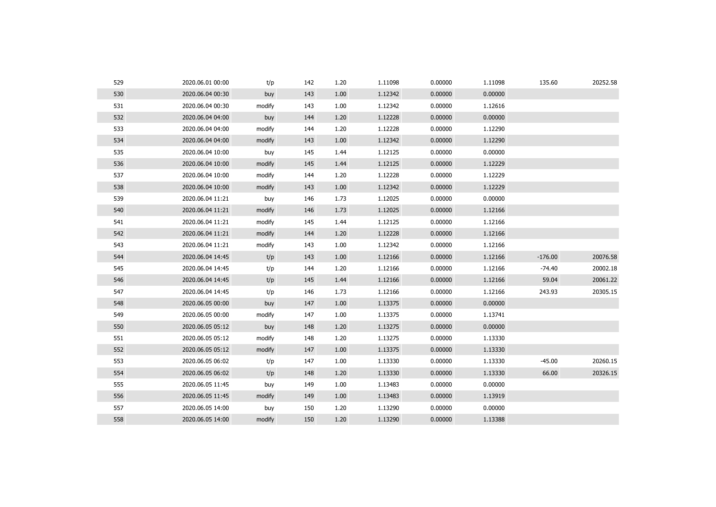| 529 | 2020.06.01 00:00 | t/p    | 142 | 1.20 | 1.11098 | 0.00000 | 1.11098 | 135.60    | 20252.58 |
|-----|------------------|--------|-----|------|---------|---------|---------|-----------|----------|
| 530 | 2020.06.04 00:30 | buy    | 143 | 1.00 | 1.12342 | 0.00000 | 0.00000 |           |          |
| 531 | 2020.06.04 00:30 | modify | 143 | 1.00 | 1.12342 | 0.00000 | 1.12616 |           |          |
| 532 | 2020.06.04 04:00 | buy    | 144 | 1.20 | 1.12228 | 0.00000 | 0.00000 |           |          |
| 533 | 2020.06.04 04:00 | modify | 144 | 1.20 | 1.12228 | 0.00000 | 1.12290 |           |          |
| 534 | 2020.06.04 04:00 | modify | 143 | 1.00 | 1.12342 | 0.00000 | 1.12290 |           |          |
| 535 | 2020.06.04 10:00 | buy    | 145 | 1.44 | 1.12125 | 0.00000 | 0.00000 |           |          |
| 536 | 2020.06.04 10:00 | modify | 145 | 1.44 | 1.12125 | 0.00000 | 1.12229 |           |          |
| 537 | 2020.06.04 10:00 | modify | 144 | 1.20 | 1.12228 | 0.00000 | 1.12229 |           |          |
| 538 | 2020.06.04 10:00 | modify | 143 | 1.00 | 1.12342 | 0.00000 | 1.12229 |           |          |
| 539 | 2020.06.04 11:21 | buy    | 146 | 1.73 | 1.12025 | 0.00000 | 0.00000 |           |          |
| 540 | 2020.06.04 11:21 | modify | 146 | 1.73 | 1.12025 | 0.00000 | 1.12166 |           |          |
| 541 | 2020.06.04 11:21 | modify | 145 | 1.44 | 1.12125 | 0.00000 | 1.12166 |           |          |
| 542 | 2020.06.04 11:21 | modify | 144 | 1.20 | 1.12228 | 0.00000 | 1.12166 |           |          |
| 543 | 2020.06.04 11:21 | modify | 143 | 1.00 | 1.12342 | 0.00000 | 1.12166 |           |          |
| 544 | 2020.06.04 14:45 | t/p    | 143 | 1.00 | 1.12166 | 0.00000 | 1.12166 | $-176.00$ | 20076.58 |
| 545 | 2020.06.04 14:45 | t/p    | 144 | 1.20 | 1.12166 | 0.00000 | 1.12166 | $-74.40$  | 20002.18 |
| 546 | 2020.06.04 14:45 | t/p    | 145 | 1.44 | 1.12166 | 0.00000 | 1.12166 | 59.04     | 20061.22 |
| 547 | 2020.06.04 14:45 | t/p    | 146 | 1.73 | 1.12166 | 0.00000 | 1.12166 | 243.93    | 20305.15 |
| 548 | 2020.06.05 00:00 | buy    | 147 | 1.00 | 1.13375 | 0.00000 | 0.00000 |           |          |
| 549 | 2020.06.05 00:00 | modify | 147 | 1.00 | 1.13375 | 0.00000 | 1.13741 |           |          |
| 550 | 2020.06.05 05:12 | buy    | 148 | 1.20 | 1.13275 | 0.00000 | 0.00000 |           |          |
| 551 | 2020.06.05 05:12 | modify | 148 | 1.20 | 1.13275 | 0.00000 | 1.13330 |           |          |
| 552 | 2020.06.05 05:12 | modify | 147 | 1.00 | 1.13375 | 0.00000 | 1.13330 |           |          |
| 553 | 2020.06.05 06:02 | t/p    | 147 | 1.00 | 1.13330 | 0.00000 | 1.13330 | $-45.00$  | 20260.15 |
| 554 | 2020.06.05 06:02 | t/p    | 148 | 1.20 | 1.13330 | 0.00000 | 1.13330 | 66.00     | 20326.15 |
| 555 | 2020.06.05 11:45 | buy    | 149 | 1.00 | 1.13483 | 0.00000 | 0.00000 |           |          |
| 556 | 2020.06.05 11:45 | modify | 149 | 1.00 | 1.13483 | 0.00000 | 1.13919 |           |          |
| 557 | 2020.06.05 14:00 | buy    | 150 | 1.20 | 1.13290 | 0.00000 | 0.00000 |           |          |
| 558 | 2020.06.05 14:00 | modify | 150 | 1.20 | 1.13290 | 0.00000 | 1.13388 |           |          |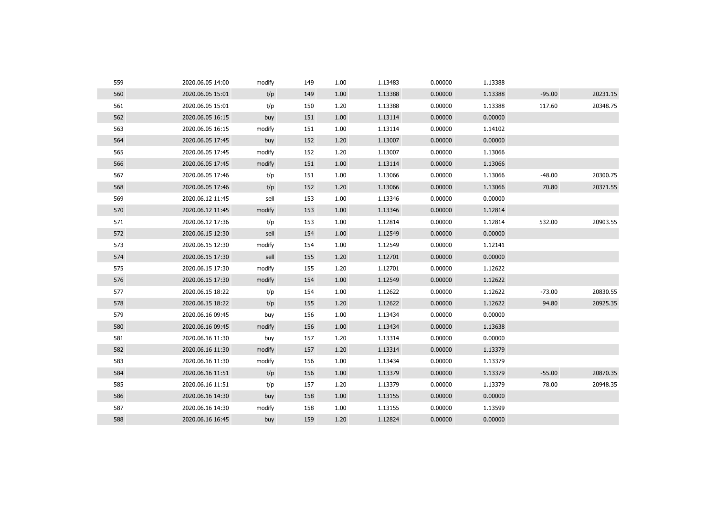| 559 | 2020.06.05 14:00 | modify | 149 | 1.00 | 1.13483 | 0.00000 | 1.13388 |          |          |
|-----|------------------|--------|-----|------|---------|---------|---------|----------|----------|
| 560 | 2020.06.05 15:01 | t/p    | 149 | 1.00 | 1.13388 | 0.00000 | 1.13388 | $-95.00$ | 20231.15 |
| 561 | 2020.06.05 15:01 | t/p    | 150 | 1.20 | 1.13388 | 0.00000 | 1.13388 | 117.60   | 20348.75 |
| 562 | 2020.06.05 16:15 | buy    | 151 | 1.00 | 1.13114 | 0.00000 | 0.00000 |          |          |
| 563 | 2020.06.05 16:15 | modify | 151 | 1.00 | 1.13114 | 0.00000 | 1.14102 |          |          |
| 564 | 2020.06.05 17:45 | buy    | 152 | 1.20 | 1.13007 | 0.00000 | 0.00000 |          |          |
| 565 | 2020.06.05 17:45 | modify | 152 | 1.20 | 1.13007 | 0.00000 | 1.13066 |          |          |
| 566 | 2020.06.05 17:45 | modify | 151 | 1.00 | 1.13114 | 0.00000 | 1.13066 |          |          |
| 567 | 2020.06.05 17:46 | t/p    | 151 | 1.00 | 1.13066 | 0.00000 | 1.13066 | $-48.00$ | 20300.75 |
| 568 | 2020.06.05 17:46 | t/p    | 152 | 1.20 | 1.13066 | 0.00000 | 1.13066 | 70.80    | 20371.55 |
| 569 | 2020.06.12 11:45 | sell   | 153 | 1.00 | 1.13346 | 0.00000 | 0.00000 |          |          |
| 570 | 2020.06.12 11:45 | modify | 153 | 1.00 | 1.13346 | 0.00000 | 1.12814 |          |          |
| 571 | 2020.06.12 17:36 | t/p    | 153 | 1.00 | 1.12814 | 0.00000 | 1.12814 | 532.00   | 20903.55 |
| 572 | 2020.06.15 12:30 | sell   | 154 | 1.00 | 1.12549 | 0.00000 | 0.00000 |          |          |
| 573 | 2020.06.15 12:30 | modify | 154 | 1.00 | 1.12549 | 0.00000 | 1.12141 |          |          |
| 574 | 2020.06.15 17:30 | sell   | 155 | 1.20 | 1.12701 | 0.00000 | 0.00000 |          |          |
| 575 | 2020.06.15 17:30 | modify | 155 | 1.20 | 1.12701 | 0.00000 | 1.12622 |          |          |
| 576 | 2020.06.15 17:30 | modify | 154 | 1.00 | 1.12549 | 0.00000 | 1.12622 |          |          |
| 577 | 2020.06.15 18:22 | t/p    | 154 | 1.00 | 1.12622 | 0.00000 | 1.12622 | $-73.00$ | 20830.55 |
| 578 | 2020.06.15 18:22 | t/p    | 155 | 1.20 | 1.12622 | 0.00000 | 1.12622 | 94.80    | 20925.35 |
| 579 | 2020.06.16 09:45 | buy    | 156 | 1.00 | 1.13434 | 0.00000 | 0.00000 |          |          |
| 580 | 2020.06.16 09:45 | modify | 156 | 1.00 | 1.13434 | 0.00000 | 1.13638 |          |          |
| 581 | 2020.06.16 11:30 | buy    | 157 | 1.20 | 1.13314 | 0.00000 | 0.00000 |          |          |
| 582 | 2020.06.16 11:30 | modify | 157 | 1.20 | 1.13314 | 0.00000 | 1.13379 |          |          |
| 583 | 2020.06.16 11:30 | modify | 156 | 1.00 | 1.13434 | 0.00000 | 1.13379 |          |          |
| 584 | 2020.06.16 11:51 | t/p    | 156 | 1.00 | 1.13379 | 0.00000 | 1.13379 | $-55.00$ | 20870.35 |
| 585 | 2020.06.16 11:51 | t/p    | 157 | 1.20 | 1.13379 | 0.00000 | 1.13379 | 78.00    | 20948.35 |
| 586 | 2020.06.16 14:30 | buy    | 158 | 1.00 | 1.13155 | 0.00000 | 0.00000 |          |          |
| 587 | 2020.06.16 14:30 | modify | 158 | 1.00 | 1.13155 | 0.00000 | 1.13599 |          |          |
| 588 | 2020.06.16 16:45 | buy    | 159 | 1.20 | 1.12824 | 0.00000 | 0.00000 |          |          |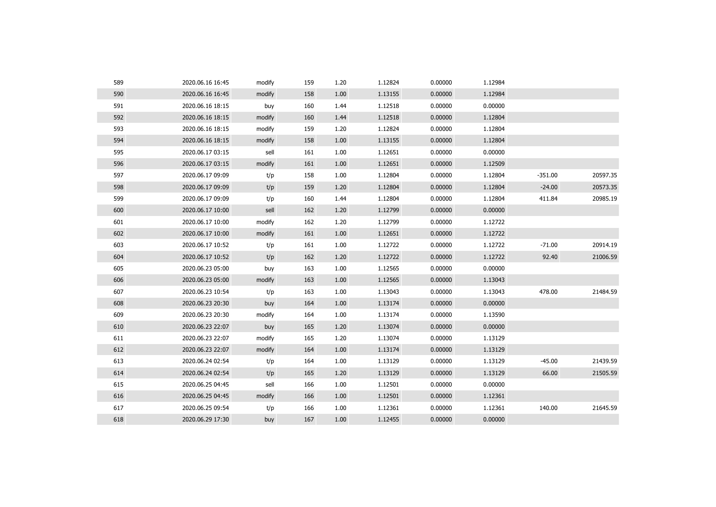| 589 | 2020.06.16 16:45 | modify | 159 | 1.20 | 1.12824 | 0.00000 | 1.12984 |           |          |
|-----|------------------|--------|-----|------|---------|---------|---------|-----------|----------|
| 590 | 2020.06.16 16:45 | modify | 158 | 1.00 | 1.13155 | 0.00000 | 1.12984 |           |          |
| 591 | 2020.06.16 18:15 | buy    | 160 | 1.44 | 1.12518 | 0.00000 | 0.00000 |           |          |
| 592 | 2020.06.16 18:15 | modify | 160 | 1.44 | 1.12518 | 0.00000 | 1.12804 |           |          |
| 593 | 2020.06.16 18:15 | modify | 159 | 1.20 | 1.12824 | 0.00000 | 1.12804 |           |          |
| 594 | 2020.06.16 18:15 | modify | 158 | 1.00 | 1.13155 | 0.00000 | 1.12804 |           |          |
| 595 | 2020.06.17 03:15 | sell   | 161 | 1.00 | 1.12651 | 0.00000 | 0.00000 |           |          |
| 596 | 2020.06.17 03:15 | modify | 161 | 1.00 | 1.12651 | 0.00000 | 1.12509 |           |          |
| 597 | 2020.06.17 09:09 | t/p    | 158 | 1.00 | 1.12804 | 0.00000 | 1.12804 | $-351.00$ | 20597.35 |
| 598 | 2020.06.17 09:09 | t/p    | 159 | 1.20 | 1.12804 | 0.00000 | 1.12804 | $-24.00$  | 20573.35 |
| 599 | 2020.06.17 09:09 | t/p    | 160 | 1.44 | 1.12804 | 0.00000 | 1.12804 | 411.84    | 20985.19 |
| 600 | 2020.06.17 10:00 | sell   | 162 | 1.20 | 1.12799 | 0.00000 | 0.00000 |           |          |
| 601 | 2020.06.17 10:00 | modify | 162 | 1.20 | 1.12799 | 0.00000 | 1.12722 |           |          |
| 602 | 2020.06.17 10:00 | modify | 161 | 1.00 | 1.12651 | 0.00000 | 1.12722 |           |          |
| 603 | 2020.06.17 10:52 | t/p    | 161 | 1.00 | 1.12722 | 0.00000 | 1.12722 | $-71.00$  | 20914.19 |
| 604 | 2020.06.17 10:52 | t/p    | 162 | 1.20 | 1.12722 | 0.00000 | 1.12722 | 92.40     | 21006.59 |
| 605 | 2020.06.23 05:00 | buy    | 163 | 1.00 | 1.12565 | 0.00000 | 0.00000 |           |          |
| 606 | 2020.06.23 05:00 | modify | 163 | 1.00 | 1.12565 | 0.00000 | 1.13043 |           |          |
| 607 | 2020.06.23 10:54 | t/p    | 163 | 1.00 | 1.13043 | 0.00000 | 1.13043 | 478.00    | 21484.59 |
| 608 | 2020.06.23 20:30 | buy    | 164 | 1.00 | 1.13174 | 0.00000 | 0.00000 |           |          |
| 609 | 2020.06.23 20:30 | modify | 164 | 1.00 | 1.13174 | 0.00000 | 1.13590 |           |          |
| 610 | 2020.06.23 22:07 | buy    | 165 | 1.20 | 1.13074 | 0.00000 | 0.00000 |           |          |
| 611 | 2020.06.23 22:07 | modify | 165 | 1.20 | 1.13074 | 0.00000 | 1.13129 |           |          |
| 612 | 2020.06.23 22:07 | modify | 164 | 1.00 | 1.13174 | 0.00000 | 1.13129 |           |          |
| 613 | 2020.06.24 02:54 | t/p    | 164 | 1.00 | 1.13129 | 0.00000 | 1.13129 | $-45.00$  | 21439.59 |
| 614 | 2020.06.24 02:54 | t/p    | 165 | 1.20 | 1.13129 | 0.00000 | 1.13129 | 66.00     | 21505.59 |
| 615 | 2020.06.25 04:45 | sell   | 166 | 1.00 | 1.12501 | 0.00000 | 0.00000 |           |          |
| 616 | 2020.06.25 04:45 | modify | 166 | 1.00 | 1.12501 | 0.00000 | 1.12361 |           |          |
| 617 | 2020.06.25 09:54 | t/p    | 166 | 1.00 | 1.12361 | 0.00000 | 1.12361 | 140.00    | 21645.59 |
| 618 | 2020.06.29 17:30 | buy    | 167 | 1.00 | 1.12455 | 0.00000 | 0.00000 |           |          |
|     |                  |        |     |      |         |         |         |           |          |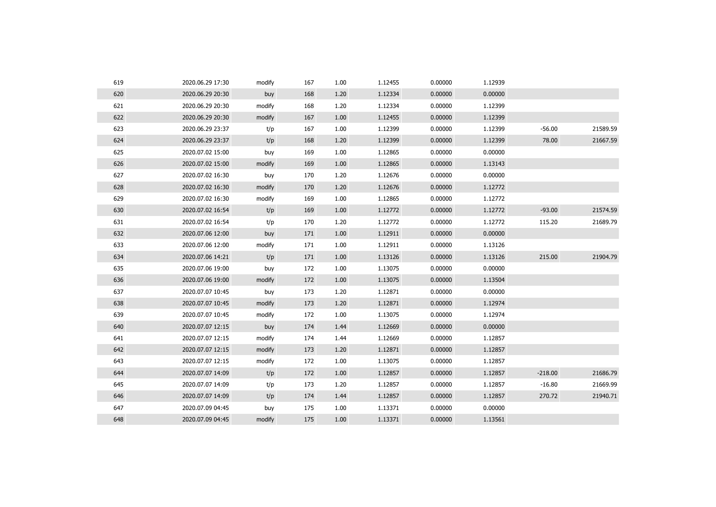| 619 | 2020.06.29 17:30 | modify | 167 | 1.00 | 1.12455 | 0.00000 | 1.12939 |           |          |
|-----|------------------|--------|-----|------|---------|---------|---------|-----------|----------|
| 620 | 2020.06.29 20:30 | buy    | 168 | 1.20 | 1.12334 | 0.00000 | 0.00000 |           |          |
| 621 | 2020.06.29 20:30 | modify | 168 | 1.20 | 1.12334 | 0.00000 | 1.12399 |           |          |
| 622 | 2020.06.29 20:30 | modify | 167 | 1.00 | 1.12455 | 0.00000 | 1.12399 |           |          |
| 623 | 2020.06.29 23:37 | t/p    | 167 | 1.00 | 1.12399 | 0.00000 | 1.12399 | $-56.00$  | 21589.59 |
| 624 | 2020.06.29 23:37 | t/p    | 168 | 1.20 | 1.12399 | 0.00000 | 1.12399 | 78.00     | 21667.59 |
| 625 | 2020.07.02 15:00 | buy    | 169 | 1.00 | 1.12865 | 0.00000 | 0.00000 |           |          |
| 626 | 2020.07.02 15:00 | modify | 169 | 1.00 | 1.12865 | 0.00000 | 1.13143 |           |          |
| 627 | 2020.07.02 16:30 | buy    | 170 | 1.20 | 1.12676 | 0.00000 | 0.00000 |           |          |
| 628 | 2020.07.02 16:30 | modify | 170 | 1.20 | 1.12676 | 0.00000 | 1.12772 |           |          |
| 629 | 2020.07.02 16:30 | modify | 169 | 1.00 | 1.12865 | 0.00000 | 1.12772 |           |          |
| 630 | 2020.07.02 16:54 | t/p    | 169 | 1.00 | 1.12772 | 0.00000 | 1.12772 | $-93.00$  | 21574.59 |
| 631 | 2020.07.02 16:54 | t/p    | 170 | 1.20 | 1.12772 | 0.00000 | 1.12772 | 115.20    | 21689.79 |
| 632 | 2020.07.06 12:00 | buy    | 171 | 1.00 | 1.12911 | 0.00000 | 0.00000 |           |          |
| 633 | 2020.07.06 12:00 | modify | 171 | 1.00 | 1.12911 | 0.00000 | 1.13126 |           |          |
| 634 | 2020.07.06 14:21 | t/p    | 171 | 1.00 | 1.13126 | 0.00000 | 1.13126 | 215.00    | 21904.79 |
| 635 | 2020.07.06 19:00 | buy    | 172 | 1.00 | 1.13075 | 0.00000 | 0.00000 |           |          |
| 636 | 2020.07.06 19:00 | modify | 172 | 1.00 | 1.13075 | 0.00000 | 1.13504 |           |          |
| 637 | 2020.07.07 10:45 | buy    | 173 | 1.20 | 1.12871 | 0.00000 | 0.00000 |           |          |
| 638 | 2020.07.07 10:45 | modify | 173 | 1.20 | 1.12871 | 0.00000 | 1.12974 |           |          |
| 639 | 2020.07.07 10:45 | modify | 172 | 1.00 | 1.13075 | 0.00000 | 1.12974 |           |          |
| 640 | 2020.07.07 12:15 | buy    | 174 | 1.44 | 1.12669 | 0.00000 | 0.00000 |           |          |
| 641 | 2020.07.07 12:15 | modify | 174 | 1.44 | 1.12669 | 0.00000 | 1.12857 |           |          |
| 642 | 2020.07.07 12:15 | modify | 173 | 1.20 | 1.12871 | 0.00000 | 1.12857 |           |          |
| 643 | 2020.07.07 12:15 | modify | 172 | 1.00 | 1.13075 | 0.00000 | 1.12857 |           |          |
| 644 | 2020.07.07 14:09 | t/p    | 172 | 1.00 | 1.12857 | 0.00000 | 1.12857 | $-218.00$ | 21686.79 |
| 645 | 2020.07.07 14:09 | t/p    | 173 | 1.20 | 1.12857 | 0.00000 | 1.12857 | $-16.80$  | 21669.99 |
| 646 | 2020.07.07 14:09 | t/p    | 174 | 1.44 | 1.12857 | 0.00000 | 1.12857 | 270.72    | 21940.71 |
| 647 | 2020.07.09 04:45 | buy    | 175 | 1.00 | 1.13371 | 0.00000 | 0.00000 |           |          |
| 648 | 2020.07.09 04:45 | modify | 175 | 1.00 | 1.13371 | 0.00000 | 1.13561 |           |          |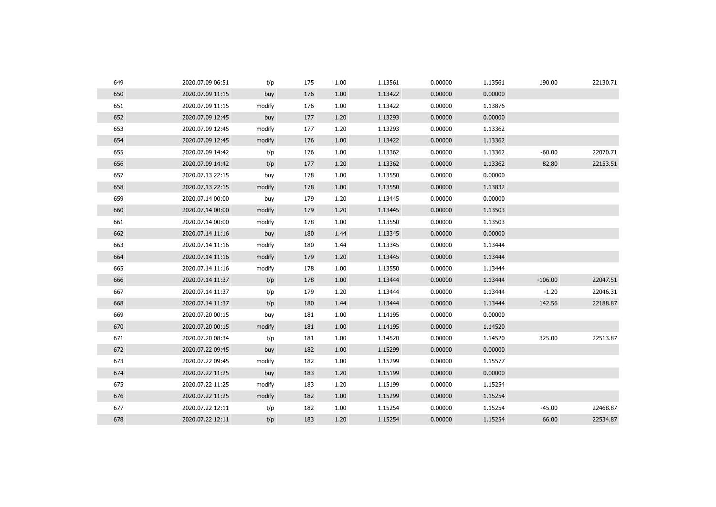| 649 | 2020.07.09 06:51 | t/p    | 175 | 1.00 | 1.13561 | 0.00000 | 1.13561 | 190.00    | 22130.71 |
|-----|------------------|--------|-----|------|---------|---------|---------|-----------|----------|
| 650 | 2020.07.09 11:15 | buy    | 176 | 1.00 | 1.13422 | 0.00000 | 0.00000 |           |          |
| 651 | 2020.07.09 11:15 | modify | 176 | 1.00 | 1.13422 | 0.00000 | 1.13876 |           |          |
| 652 | 2020.07.09 12:45 | buy    | 177 | 1.20 | 1.13293 | 0.00000 | 0.00000 |           |          |
| 653 | 2020.07.09 12:45 | modify | 177 | 1.20 | 1.13293 | 0.00000 | 1.13362 |           |          |
| 654 | 2020.07.09 12:45 | modify | 176 | 1.00 | 1.13422 | 0.00000 | 1.13362 |           |          |
| 655 | 2020.07.09 14:42 | t/p    | 176 | 1.00 | 1.13362 | 0.00000 | 1.13362 | $-60.00$  | 22070.71 |
| 656 | 2020.07.09 14:42 | t/p    | 177 | 1.20 | 1.13362 | 0.00000 | 1.13362 | 82.80     | 22153.51 |
| 657 | 2020.07.13 22:15 | buy    | 178 | 1.00 | 1.13550 | 0.00000 | 0.00000 |           |          |
| 658 | 2020.07.13 22:15 | modify | 178 | 1.00 | 1.13550 | 0.00000 | 1.13832 |           |          |
| 659 | 2020.07.14 00:00 | buy    | 179 | 1.20 | 1.13445 | 0.00000 | 0.00000 |           |          |
| 660 | 2020.07.14 00:00 | modify | 179 | 1.20 | 1.13445 | 0.00000 | 1.13503 |           |          |
| 661 | 2020.07.14 00:00 | modify | 178 | 1.00 | 1.13550 | 0.00000 | 1.13503 |           |          |
| 662 | 2020.07.14 11:16 | buy    | 180 | 1.44 | 1.13345 | 0.00000 | 0.00000 |           |          |
| 663 | 2020.07.14 11:16 | modify | 180 | 1.44 | 1.13345 | 0.00000 | 1.13444 |           |          |
| 664 | 2020.07.14 11:16 | modify | 179 | 1.20 | 1.13445 | 0.00000 | 1.13444 |           |          |
| 665 | 2020.07.14 11:16 | modify | 178 | 1.00 | 1.13550 | 0.00000 | 1.13444 |           |          |
| 666 | 2020.07.14 11:37 | t/p    | 178 | 1.00 | 1.13444 | 0.00000 | 1.13444 | $-106.00$ | 22047.51 |
| 667 | 2020.07.14 11:37 | t/p    | 179 | 1.20 | 1.13444 | 0.00000 | 1.13444 | $-1.20$   | 22046.31 |
| 668 | 2020.07.14 11:37 | t/p    | 180 | 1.44 | 1.13444 | 0.00000 | 1.13444 | 142.56    | 22188.87 |
| 669 | 2020.07.20 00:15 | buy    | 181 | 1.00 | 1.14195 | 0.00000 | 0.00000 |           |          |
| 670 | 2020.07.20 00:15 | modify | 181 | 1.00 | 1.14195 | 0.00000 | 1.14520 |           |          |
| 671 | 2020.07.20 08:34 | t/p    | 181 | 1.00 | 1.14520 | 0.00000 | 1.14520 | 325.00    | 22513.87 |
| 672 | 2020.07.22 09:45 | buy    | 182 | 1.00 | 1.15299 | 0.00000 | 0.00000 |           |          |
| 673 | 2020.07.22 09:45 | modify | 182 | 1.00 | 1.15299 | 0.00000 | 1.15577 |           |          |
| 674 | 2020.07.22 11:25 | buy    | 183 | 1.20 | 1.15199 | 0.00000 | 0.00000 |           |          |
| 675 | 2020.07.22 11:25 | modify | 183 | 1.20 | 1.15199 | 0.00000 | 1.15254 |           |          |
| 676 | 2020.07.22 11:25 | modify | 182 | 1.00 | 1.15299 | 0.00000 | 1.15254 |           |          |
| 677 | 2020.07.22 12:11 | t/p    | 182 | 1.00 | 1.15254 | 0.00000 | 1.15254 | $-45.00$  | 22468.87 |
| 678 | 2020.07.22 12:11 | t/p    | 183 | 1.20 | 1.15254 | 0.00000 | 1.15254 | 66.00     | 22534.87 |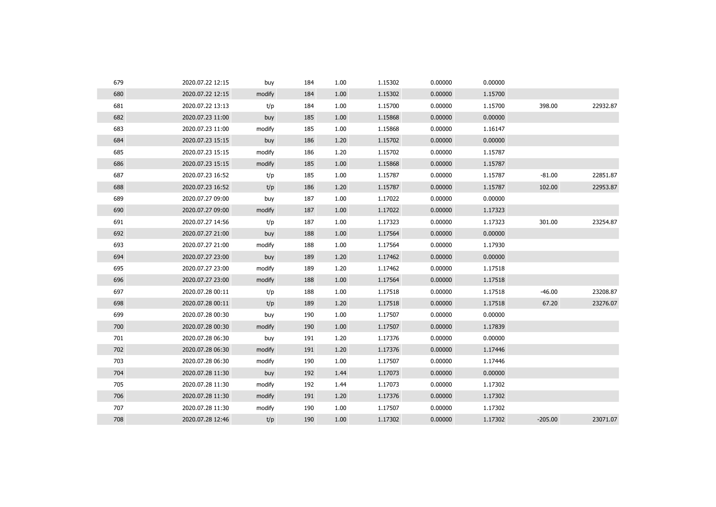| 679 | 2020.07.22 12:15 | buy    | 184 | 1.00 | 1.15302 | 0.00000 | 0.00000 |           |          |
|-----|------------------|--------|-----|------|---------|---------|---------|-----------|----------|
| 680 | 2020.07.22 12:15 | modify | 184 | 1.00 | 1.15302 | 0.00000 | 1.15700 |           |          |
| 681 | 2020.07.22 13:13 | t/p    | 184 | 1.00 | 1.15700 | 0.00000 | 1.15700 | 398.00    | 22932.87 |
| 682 | 2020.07.23 11:00 | buy    | 185 | 1.00 | 1.15868 | 0.00000 | 0.00000 |           |          |
| 683 | 2020.07.23 11:00 | modify | 185 | 1.00 | 1.15868 | 0.00000 | 1.16147 |           |          |
| 684 | 2020.07.23 15:15 | buy    | 186 | 1.20 | 1.15702 | 0.00000 | 0.00000 |           |          |
| 685 | 2020.07.23 15:15 | modify | 186 | 1.20 | 1.15702 | 0.00000 | 1.15787 |           |          |
| 686 | 2020.07.23 15:15 | modify | 185 | 1.00 | 1.15868 | 0.00000 | 1.15787 |           |          |
| 687 | 2020.07.23 16:52 | t/p    | 185 | 1.00 | 1.15787 | 0.00000 | 1.15787 | $-81.00$  | 22851.87 |
| 688 | 2020.07.23 16:52 | t/p    | 186 | 1.20 | 1.15787 | 0.00000 | 1.15787 | 102.00    | 22953.87 |
| 689 | 2020.07.27 09:00 | buy    | 187 | 1.00 | 1.17022 | 0.00000 | 0.00000 |           |          |
| 690 | 2020.07.27 09:00 | modify | 187 | 1.00 | 1.17022 | 0.00000 | 1.17323 |           |          |
| 691 | 2020.07.27 14:56 | t/p    | 187 | 1.00 | 1.17323 | 0.00000 | 1.17323 | 301.00    | 23254.87 |
| 692 | 2020.07.27 21:00 | buy    | 188 | 1.00 | 1.17564 | 0.00000 | 0.00000 |           |          |
| 693 | 2020.07.27 21:00 | modify | 188 | 1.00 | 1.17564 | 0.00000 | 1.17930 |           |          |
| 694 | 2020.07.27 23:00 | buy    | 189 | 1.20 | 1.17462 | 0.00000 | 0.00000 |           |          |
| 695 | 2020.07.27 23:00 | modify | 189 | 1.20 | 1.17462 | 0.00000 | 1.17518 |           |          |
| 696 | 2020.07.27 23:00 | modify | 188 | 1.00 | 1.17564 | 0.00000 | 1.17518 |           |          |
| 697 | 2020.07.28 00:11 | t/p    | 188 | 1.00 | 1.17518 | 0.00000 | 1.17518 | $-46.00$  | 23208.87 |
| 698 | 2020.07.28 00:11 | t/p    | 189 | 1.20 | 1.17518 | 0.00000 | 1.17518 | 67.20     | 23276.07 |
| 699 | 2020.07.28 00:30 | buy    | 190 | 1.00 | 1.17507 | 0.00000 | 0.00000 |           |          |
| 700 | 2020.07.28 00:30 | modify | 190 | 1.00 | 1.17507 | 0.00000 | 1.17839 |           |          |
| 701 | 2020.07.28 06:30 | buy    | 191 | 1.20 | 1.17376 | 0.00000 | 0.00000 |           |          |
| 702 | 2020.07.28 06:30 | modify | 191 | 1.20 | 1.17376 | 0.00000 | 1.17446 |           |          |
| 703 | 2020.07.28 06:30 | modify | 190 | 1.00 | 1.17507 | 0.00000 | 1.17446 |           |          |
| 704 | 2020.07.28 11:30 | buy    | 192 | 1.44 | 1.17073 | 0.00000 | 0.00000 |           |          |
| 705 | 2020.07.28 11:30 | modify | 192 | 1.44 | 1.17073 | 0.00000 | 1.17302 |           |          |
| 706 | 2020.07.28 11:30 | modify | 191 | 1.20 | 1.17376 | 0.00000 | 1.17302 |           |          |
| 707 | 2020.07.28 11:30 | modify | 190 | 1.00 | 1.17507 | 0.00000 | 1.17302 |           |          |
| 708 | 2020.07.28 12:46 | t/p    | 190 | 1.00 | 1.17302 | 0.00000 | 1.17302 | $-205.00$ | 23071.07 |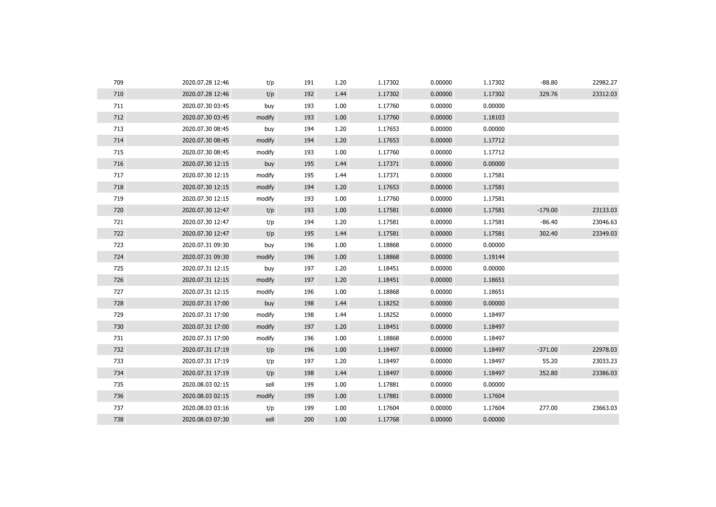| 709 | 2020.07.28 12:46 | t/p    | 191 | 1.20 | 1.17302 | 0.00000 | 1.17302 | $-88.80$  | 22982.27 |
|-----|------------------|--------|-----|------|---------|---------|---------|-----------|----------|
| 710 | 2020.07.28 12:46 | t/p    | 192 | 1.44 | 1.17302 | 0.00000 | 1.17302 | 329.76    | 23312.03 |
| 711 | 2020.07.30 03:45 | buy    | 193 | 1.00 | 1.17760 | 0.00000 | 0.00000 |           |          |
| 712 | 2020.07.30 03:45 | modify | 193 | 1.00 | 1.17760 | 0.00000 | 1.18103 |           |          |
| 713 | 2020.07.30 08:45 | buy    | 194 | 1.20 | 1.17653 | 0.00000 | 0.00000 |           |          |
| 714 | 2020.07.30 08:45 | modify | 194 | 1.20 | 1.17653 | 0.00000 | 1.17712 |           |          |
| 715 | 2020.07.30 08:45 | modify | 193 | 1.00 | 1.17760 | 0.00000 | 1.17712 |           |          |
| 716 | 2020.07.30 12:15 | buy    | 195 | 1.44 | 1.17371 | 0.00000 | 0.00000 |           |          |
| 717 | 2020.07.30 12:15 | modify | 195 | 1.44 | 1.17371 | 0.00000 | 1.17581 |           |          |
| 718 | 2020.07.30 12:15 | modify | 194 | 1.20 | 1.17653 | 0.00000 | 1.17581 |           |          |
| 719 | 2020.07.30 12:15 | modify | 193 | 1.00 | 1.17760 | 0.00000 | 1.17581 |           |          |
| 720 | 2020.07.30 12:47 | t/p    | 193 | 1.00 | 1.17581 | 0.00000 | 1.17581 | $-179.00$ | 23133.03 |
| 721 | 2020.07.30 12:47 | t/p    | 194 | 1.20 | 1.17581 | 0.00000 | 1.17581 | $-86.40$  | 23046.63 |
| 722 | 2020.07.30 12:47 | t/p    | 195 | 1.44 | 1.17581 | 0.00000 | 1.17581 | 302.40    | 23349.03 |
| 723 | 2020.07.31 09:30 | buy    | 196 | 1.00 | 1.18868 | 0.00000 | 0.00000 |           |          |
| 724 | 2020.07.31 09:30 | modify | 196 | 1.00 | 1.18868 | 0.00000 | 1.19144 |           |          |
| 725 | 2020.07.31 12:15 | buy    | 197 | 1.20 | 1.18451 | 0.00000 | 0.00000 |           |          |
| 726 | 2020.07.31 12:15 | modify | 197 | 1.20 | 1.18451 | 0.00000 | 1.18651 |           |          |
| 727 | 2020.07.31 12:15 | modify | 196 | 1.00 | 1.18868 | 0.00000 | 1.18651 |           |          |
| 728 | 2020.07.31 17:00 | buy    | 198 | 1.44 | 1.18252 | 0.00000 | 0.00000 |           |          |
| 729 | 2020.07.31 17:00 | modify | 198 | 1.44 | 1.18252 | 0.00000 | 1.18497 |           |          |
| 730 | 2020.07.31 17:00 | modify | 197 | 1.20 | 1.18451 | 0.00000 | 1.18497 |           |          |
| 731 | 2020.07.31 17:00 | modify | 196 | 1.00 | 1.18868 | 0.00000 | 1.18497 |           |          |
| 732 | 2020.07.31 17:19 | t/p    | 196 | 1.00 | 1.18497 | 0.00000 | 1.18497 | $-371.00$ | 22978.03 |
| 733 | 2020.07.31 17:19 | t/p    | 197 | 1.20 | 1.18497 | 0.00000 | 1.18497 | 55.20     | 23033.23 |
| 734 | 2020.07.31 17:19 | t/p    | 198 | 1.44 | 1.18497 | 0.00000 | 1.18497 | 352.80    | 23386.03 |
| 735 | 2020.08.03 02:15 | sell   | 199 | 1.00 | 1.17881 | 0.00000 | 0.00000 |           |          |
| 736 | 2020.08.03 02:15 | modify | 199 | 1.00 | 1.17881 | 0.00000 | 1.17604 |           |          |
| 737 | 2020.08.03 03:16 | t/p    | 199 | 1.00 | 1.17604 | 0.00000 | 1.17604 | 277.00    | 23663.03 |
| 738 | 2020.08.03 07:30 | sell   | 200 | 1.00 | 1.17768 | 0.00000 | 0.00000 |           |          |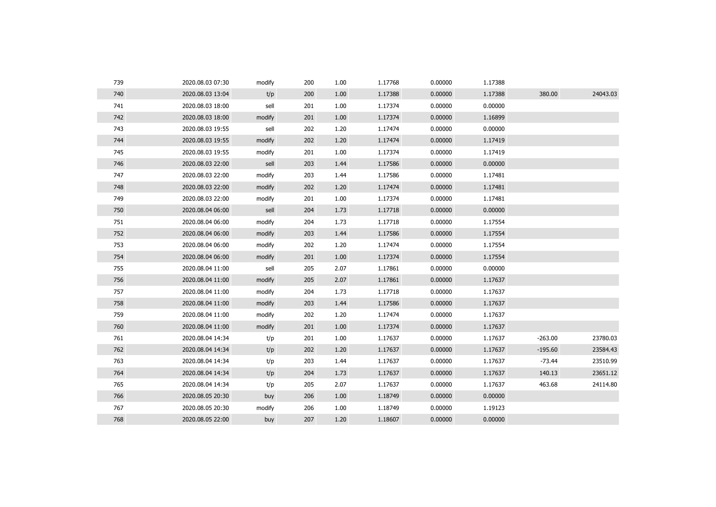| 739 | 2020.08.03 07:30 | modify | 200 | 1.00 | 1.17768 | 0.00000 | 1.17388 |           |          |
|-----|------------------|--------|-----|------|---------|---------|---------|-----------|----------|
| 740 | 2020.08.03 13:04 | t/p    | 200 | 1.00 | 1.17388 | 0.00000 | 1.17388 | 380.00    | 24043.03 |
| 741 | 2020.08.03 18:00 | sell   | 201 | 1.00 | 1.17374 | 0.00000 | 0.00000 |           |          |
| 742 | 2020.08.03 18:00 | modify | 201 | 1.00 | 1.17374 | 0.00000 | 1.16899 |           |          |
| 743 | 2020.08.03 19:55 | sell   | 202 | 1.20 | 1.17474 | 0.00000 | 0.00000 |           |          |
| 744 | 2020.08.03 19:55 | modify | 202 | 1.20 | 1.17474 | 0.00000 | 1.17419 |           |          |
| 745 | 2020.08.03 19:55 | modify | 201 | 1.00 | 1.17374 | 0.00000 | 1.17419 |           |          |
| 746 | 2020.08.03 22:00 | sell   | 203 | 1.44 | 1.17586 | 0.00000 | 0.00000 |           |          |
| 747 | 2020.08.03 22:00 | modify | 203 | 1.44 | 1.17586 | 0.00000 | 1.17481 |           |          |
| 748 | 2020.08.03 22:00 | modify | 202 | 1.20 | 1.17474 | 0.00000 | 1.17481 |           |          |
| 749 | 2020.08.03 22:00 | modify | 201 | 1.00 | 1.17374 | 0.00000 | 1.17481 |           |          |
| 750 | 2020.08.04 06:00 | sell   | 204 | 1.73 | 1.17718 | 0.00000 | 0.00000 |           |          |
| 751 | 2020.08.04 06:00 | modify | 204 | 1.73 | 1.17718 | 0.00000 | 1.17554 |           |          |
| 752 | 2020.08.04 06:00 | modify | 203 | 1.44 | 1.17586 | 0.00000 | 1.17554 |           |          |
| 753 | 2020.08.04 06:00 | modify | 202 | 1.20 | 1.17474 | 0.00000 | 1.17554 |           |          |
| 754 | 2020.08.04 06:00 | modify | 201 | 1.00 | 1.17374 | 0.00000 | 1.17554 |           |          |
| 755 | 2020.08.04 11:00 | sell   | 205 | 2.07 | 1.17861 | 0.00000 | 0.00000 |           |          |
| 756 | 2020.08.04 11:00 | modify | 205 | 2.07 | 1.17861 | 0.00000 | 1.17637 |           |          |
| 757 | 2020.08.04 11:00 | modify | 204 | 1.73 | 1.17718 | 0.00000 | 1.17637 |           |          |
| 758 | 2020.08.04 11:00 | modify | 203 | 1.44 | 1.17586 | 0.00000 | 1.17637 |           |          |
| 759 | 2020.08.04 11:00 | modify | 202 | 1.20 | 1.17474 | 0.00000 | 1.17637 |           |          |
| 760 | 2020.08.04 11:00 | modify | 201 | 1.00 | 1.17374 | 0.00000 | 1.17637 |           |          |
| 761 | 2020.08.04 14:34 | t/p    | 201 | 1.00 | 1.17637 | 0.00000 | 1.17637 | $-263.00$ | 23780.03 |
| 762 | 2020.08.04 14:34 | t/p    | 202 | 1.20 | 1.17637 | 0.00000 | 1.17637 | $-195.60$ | 23584.43 |
| 763 | 2020.08.04 14:34 | t/p    | 203 | 1.44 | 1.17637 | 0.00000 | 1.17637 | $-73.44$  | 23510.99 |
| 764 | 2020.08.04 14:34 | t/p    | 204 | 1.73 | 1.17637 | 0.00000 | 1.17637 | 140.13    | 23651.12 |
| 765 | 2020.08.04 14:34 | t/p    | 205 | 2.07 | 1.17637 | 0.00000 | 1.17637 | 463.68    | 24114.80 |
| 766 | 2020.08.05 20:30 | buy    | 206 | 1.00 | 1.18749 | 0.00000 | 0.00000 |           |          |
| 767 | 2020.08.05 20:30 | modify | 206 | 1.00 | 1.18749 | 0.00000 | 1.19123 |           |          |
| 768 | 2020.08.05 22:00 | buy    | 207 | 1.20 | 1.18607 | 0.00000 | 0.00000 |           |          |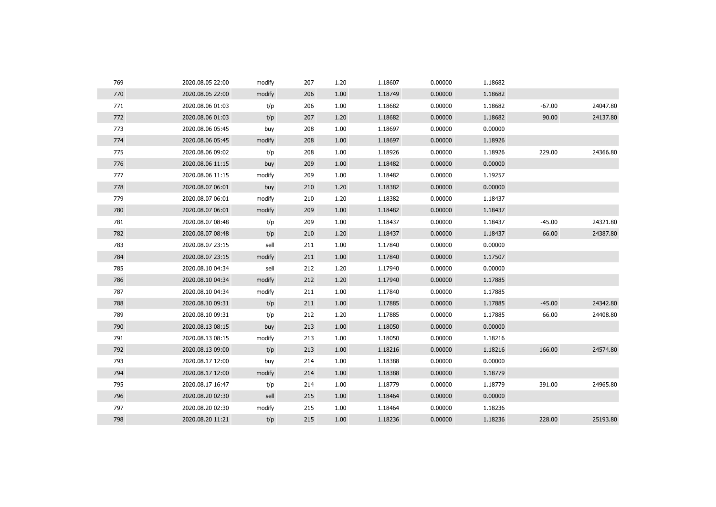| 769 | 2020.08.05 22:00 | modify | 207 | 1.20 | 1.18607 | 0.00000 | 1.18682 |          |          |
|-----|------------------|--------|-----|------|---------|---------|---------|----------|----------|
| 770 | 2020.08.05 22:00 | modify | 206 | 1.00 | 1.18749 | 0.00000 | 1.18682 |          |          |
| 771 | 2020.08.06 01:03 | t/p    | 206 | 1.00 | 1.18682 | 0.00000 | 1.18682 | $-67.00$ | 24047.80 |
| 772 | 2020.08.06 01:03 | t/p    | 207 | 1.20 | 1.18682 | 0.00000 | 1.18682 | 90.00    | 24137.80 |
| 773 | 2020.08.06 05:45 | buy    | 208 | 1.00 | 1.18697 | 0.00000 | 0.00000 |          |          |
| 774 | 2020.08.06 05:45 | modify | 208 | 1.00 | 1.18697 | 0.00000 | 1.18926 |          |          |
| 775 | 2020.08.06 09:02 | t/p    | 208 | 1.00 | 1.18926 | 0.00000 | 1.18926 | 229.00   | 24366.80 |
| 776 | 2020.08.06 11:15 | buy    | 209 | 1.00 | 1.18482 | 0.00000 | 0.00000 |          |          |
| 777 | 2020.08.06 11:15 | modify | 209 | 1.00 | 1.18482 | 0.00000 | 1.19257 |          |          |
| 778 | 2020.08.07 06:01 | buy    | 210 | 1.20 | 1.18382 | 0.00000 | 0.00000 |          |          |
| 779 | 2020.08.07 06:01 | modify | 210 | 1.20 | 1.18382 | 0.00000 | 1.18437 |          |          |
| 780 | 2020.08.07 06:01 | modify | 209 | 1.00 | 1.18482 | 0.00000 | 1.18437 |          |          |
| 781 | 2020.08.07 08:48 | t/p    | 209 | 1.00 | 1.18437 | 0.00000 | 1.18437 | $-45.00$ | 24321.80 |
| 782 | 2020.08.07 08:48 | t/p    | 210 | 1.20 | 1.18437 | 0.00000 | 1.18437 | 66.00    | 24387.80 |
| 783 | 2020.08.07 23:15 | sell   | 211 | 1.00 | 1.17840 | 0.00000 | 0.00000 |          |          |
| 784 | 2020.08.07 23:15 | modify | 211 | 1.00 | 1.17840 | 0.00000 | 1.17507 |          |          |
| 785 | 2020.08.10 04:34 | sell   | 212 | 1.20 | 1.17940 | 0.00000 | 0.00000 |          |          |
| 786 | 2020.08.10 04:34 | modify | 212 | 1.20 | 1.17940 | 0.00000 | 1.17885 |          |          |
| 787 | 2020.08.10 04:34 | modify | 211 | 1.00 | 1.17840 | 0.00000 | 1.17885 |          |          |
| 788 | 2020.08.10 09:31 | t/p    | 211 | 1.00 | 1.17885 | 0.00000 | 1.17885 | $-45.00$ | 24342.80 |
| 789 | 2020.08.10 09:31 | t/p    | 212 | 1.20 | 1.17885 | 0.00000 | 1.17885 | 66.00    | 24408.80 |
| 790 | 2020.08.13 08:15 | buy    | 213 | 1.00 | 1.18050 | 0.00000 | 0.00000 |          |          |
| 791 | 2020.08.13 08:15 | modify | 213 | 1.00 | 1.18050 | 0.00000 | 1.18216 |          |          |
| 792 | 2020.08.13 09:00 | t/p    | 213 | 1.00 | 1.18216 | 0.00000 | 1.18216 | 166.00   | 24574.80 |
| 793 | 2020.08.17 12:00 | buy    | 214 | 1.00 | 1.18388 | 0.00000 | 0.00000 |          |          |
| 794 | 2020.08.17 12:00 | modify | 214 | 1.00 | 1.18388 | 0.00000 | 1.18779 |          |          |
| 795 | 2020.08.17 16:47 | t/p    | 214 | 1.00 | 1.18779 | 0.00000 | 1.18779 | 391.00   | 24965.80 |
| 796 | 2020.08.20 02:30 | sell   | 215 | 1.00 | 1.18464 | 0.00000 | 0.00000 |          |          |
| 797 | 2020.08.20 02:30 | modify | 215 | 1.00 | 1.18464 | 0.00000 | 1.18236 |          |          |
| 798 | 2020.08.20 11:21 | t/p    | 215 | 1.00 | 1.18236 | 0.00000 | 1.18236 | 228.00   | 25193.80 |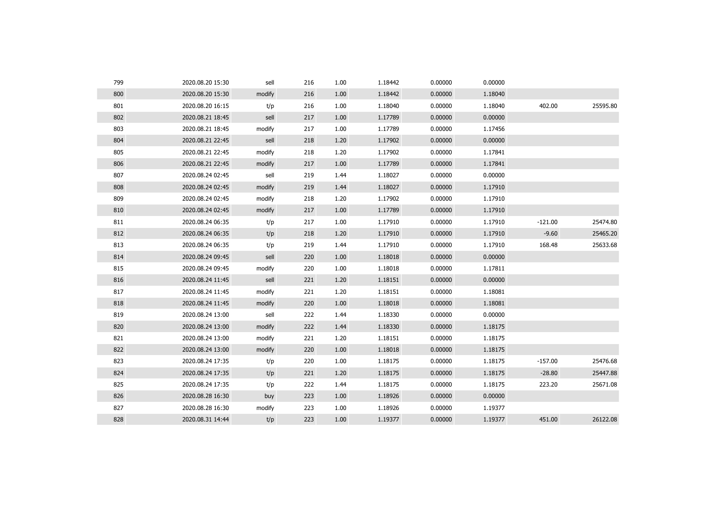| 799 | 2020.08.20 15:30 | sell   | 216 | 1.00 | 1.18442 | 0.00000 | 0.00000 |           |          |
|-----|------------------|--------|-----|------|---------|---------|---------|-----------|----------|
| 800 | 2020.08.20 15:30 | modify | 216 | 1.00 | 1.18442 | 0.00000 | 1.18040 |           |          |
| 801 | 2020.08.20 16:15 | t/p    | 216 | 1.00 | 1.18040 | 0.00000 | 1.18040 | 402.00    | 25595.80 |
| 802 | 2020.08.21 18:45 | sell   | 217 | 1.00 | 1.17789 | 0.00000 | 0.00000 |           |          |
| 803 | 2020.08.21 18:45 | modify | 217 | 1.00 | 1.17789 | 0.00000 | 1.17456 |           |          |
| 804 | 2020.08.21 22:45 | sell   | 218 | 1.20 | 1.17902 | 0.00000 | 0.00000 |           |          |
| 805 | 2020.08.21 22:45 | modify | 218 | 1.20 | 1.17902 | 0.00000 | 1.17841 |           |          |
| 806 | 2020.08.21 22:45 | modify | 217 | 1.00 | 1.17789 | 0.00000 | 1.17841 |           |          |
| 807 | 2020.08.24 02:45 | sell   | 219 | 1.44 | 1.18027 | 0.00000 | 0.00000 |           |          |
| 808 | 2020.08.24 02:45 | modify | 219 | 1.44 | 1.18027 | 0.00000 | 1.17910 |           |          |
| 809 | 2020.08.24 02:45 | modify | 218 | 1.20 | 1.17902 | 0.00000 | 1.17910 |           |          |
| 810 | 2020.08.24 02:45 | modify | 217 | 1.00 | 1.17789 | 0.00000 | 1.17910 |           |          |
| 811 | 2020.08.24 06:35 | t/p    | 217 | 1.00 | 1.17910 | 0.00000 | 1.17910 | $-121.00$ | 25474.80 |
| 812 | 2020.08.24 06:35 | t/p    | 218 | 1.20 | 1.17910 | 0.00000 | 1.17910 | $-9.60$   | 25465.20 |
| 813 | 2020.08.24 06:35 | t/p    | 219 | 1.44 | 1.17910 | 0.00000 | 1.17910 | 168.48    | 25633.68 |
| 814 | 2020.08.24 09:45 | sell   | 220 | 1.00 | 1.18018 | 0.00000 | 0.00000 |           |          |
| 815 | 2020.08.24 09:45 | modify | 220 | 1.00 | 1.18018 | 0.00000 | 1.17811 |           |          |
| 816 | 2020.08.24 11:45 | sell   | 221 | 1.20 | 1.18151 | 0.00000 | 0.00000 |           |          |
| 817 | 2020.08.24 11:45 | modify | 221 | 1.20 | 1.18151 | 0.00000 | 1.18081 |           |          |
| 818 | 2020.08.24 11:45 | modify | 220 | 1.00 | 1.18018 | 0.00000 | 1.18081 |           |          |
| 819 | 2020.08.24 13:00 | sell   | 222 | 1.44 | 1.18330 | 0.00000 | 0.00000 |           |          |
| 820 | 2020.08.24 13:00 | modify | 222 | 1.44 | 1.18330 | 0.00000 | 1.18175 |           |          |
| 821 | 2020.08.24 13:00 | modify | 221 | 1.20 | 1.18151 | 0.00000 | 1.18175 |           |          |
| 822 | 2020.08.24 13:00 | modify | 220 | 1.00 | 1.18018 | 0.00000 | 1.18175 |           |          |
| 823 | 2020.08.24 17:35 | t/p    | 220 | 1.00 | 1.18175 | 0.00000 | 1.18175 | $-157.00$ | 25476.68 |
| 824 | 2020.08.24 17:35 | t/p    | 221 | 1.20 | 1.18175 | 0.00000 | 1.18175 | $-28.80$  | 25447.88 |
| 825 | 2020.08.24 17:35 | t/p    | 222 | 1.44 | 1.18175 | 0.00000 | 1.18175 | 223.20    | 25671.08 |
| 826 | 2020.08.28 16:30 | buy    | 223 | 1.00 | 1.18926 | 0.00000 | 0.00000 |           |          |
| 827 | 2020.08.28 16:30 | modify | 223 | 1.00 | 1.18926 | 0.00000 | 1.19377 |           |          |
| 828 | 2020.08.31 14:44 | t/p    | 223 | 1.00 | 1.19377 | 0.00000 | 1.19377 | 451.00    | 26122.08 |